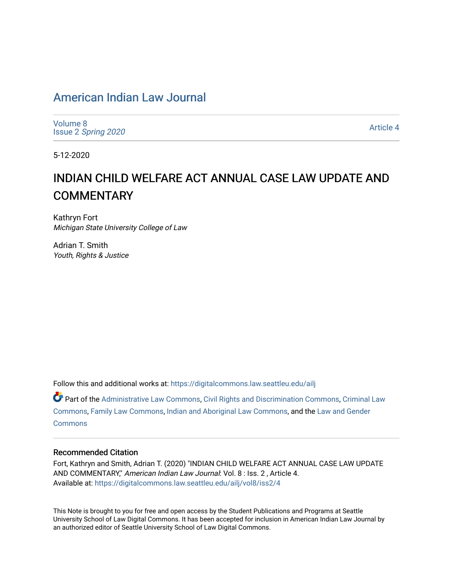## American Indian Law Journal

Volume 8 Issue 2 Spring 2020

Article 4

5-12-2020

# INDIAN CHILD WELFARE ACT ANNUAL CASE LAW UPDATE AND **COMMENTARY**

Kathryn Fort Michigan State University College of Law

Adrian T. Smith Youth, Rights & Justice

Follow this and additional works at: https://digitalcommons.law.seattleu.edu/ailj

Part of the Administrative Law Commons, Civil Rights and Discrimination Commons, Criminal Law Commons, Family Law Commons, Indian and Aboriginal Law Commons, and the Law and Gender **Commons** 

## Recommended Citation

Fort, Kathryn and Smith, Adrian T. (2020) "INDIAN CHILD WELFARE ACT ANNUAL CASE LAW UPDATE AND COMMENTARY," American Indian Law Journal: Vol. 8 : Iss. 2 , Article 4. Available at: https://digitalcommons.law.seattleu.edu/ailj/vol8/iss2/4

This Note is brought to you for free and open access by the Student Publications and Programs at Seattle University School of Law Digital Commons. It has been accepted for inclusion in American Indian Law Journal by an authorized editor of Seattle University School of Law Digital Commons.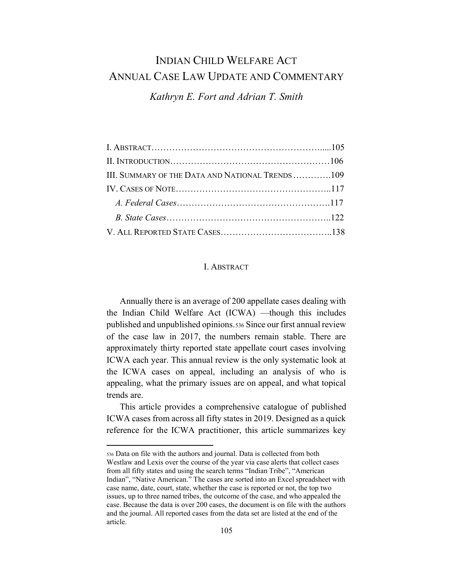## **INDIAN CHILD WELFARE ACT** ANNUAL CASE LAW UPDATE AND COMMENTARY

Kathryn E. Fort and Adrian T. Smith

| III. SUMMARY OF THE DATA AND NATIONAL TRENDS 109 |  |
|--------------------------------------------------|--|
|                                                  |  |
|                                                  |  |
|                                                  |  |
|                                                  |  |

#### **I. ABSTRACT**

Annually there is an average of 200 appellate cases dealing with the Indian Child Welfare Act (ICWA) -though this includes published and unpublished opinions.536 Since our first annual review of the case law in 2017, the numbers remain stable. There are approximately thirty reported state appellate court cases involving ICWA each year. This annual review is the only systematic look at the ICWA cases on appeal, including an analysis of who is appealing, what the primary issues are on appeal, and what topical trends are.

This article provides a comprehensive catalogue of published ICWA cases from across all fifty states in 2019. Designed as a quick reference for the ICWA practitioner, this article summarizes key

<sup>536</sup> Data on file with the authors and journal. Data is collected from both Westlaw and Lexis over the course of the year via case alerts that collect cases from all fifty states and using the search terms "Indian Tribe", "American Indian", "Native American." The cases are sorted into an Excel spreadsheet with case name, date, court, state, whether the case is reported or not, the top two issues, up to three named tribes, the outcome of the case, and who appealed the case. Because the data is over 200 cases, the document is on file with the authors and the journal. All reported cases from the data set are listed at the end of the article.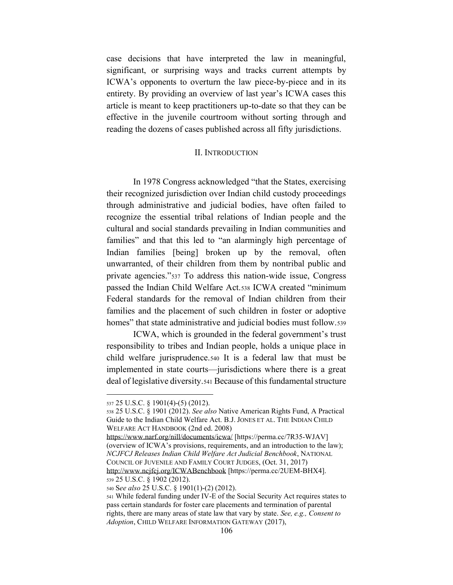case decisions that have interpreted the law in meaningful, significant, or surprising ways and tracks current attempts by ICWA's opponents to overturn the law piece-by-piece and in its entirety. By providing an overview of last year's ICWA cases this article is meant to keep practitioners up-to-date so that they can be effective in the juvenile courtroom without sorting through and reading the dozens of cases published across all fifty jurisdictions.

## II. INTRODUCTION

In 1978 Congress acknowledged "that the States, exercising their recognized jurisdiction over Indian child custody proceedings through administrative and judicial bodies, have often failed to recognize the essential tribal relations of Indian people and the cultural and social standards prevailing in Indian communities and families" and that this led to "an alarmingly high percentage of Indian families [being] broken up by the removal, often unwarranted, of their children from them by nontribal public and private agencies."<sup>537</sup> To address this nation-wide issue, Congress passed the Indian Child Welfare Act.538 ICWA created "minimum Federal standards for the removal of Indian children from their families and the placement of such children in foster or adoptive homes" that state administrative and judicial bodies must follow.539

ICWA, which is grounded in the federal government's trust responsibility to tribes and Indian people, holds a unique place in child welfare jurisprudence.540 It is a federal law that must be implemented in state courts—jurisdictions where there is a great deal of legislative diversity.541 Because of this fundamental structure

<sup>540</sup> S*ee also* 25 U.S.C. § 1901(1)-(2) (2012).

<sup>537</sup> 25 U.S.C. § 1901(4)-(5) (2012).

<sup>538</sup> 25 U.S.C. § 1901 (2012). *See also* Native American Rights Fund, A Practical Guide to the Indian Child Welfare Act. B.J. JONES ET AL. THE INDIAN CHILD WELFARE ACT HANDBOOK (2nd ed. 2008)

https://www.narf.org/nill/documents/icwa/ [https://perma.cc/7R35-WJAV] (overview of ICWA's provisions, requirements, and an introduction to the law); *NCJFCJ Releases Indian Child Welfare Act Judicial Benchbook*, NATIONAL COUNCIL OF JUVENILE AND FAMILY COURT JUDGES, (Oct. 31, 2017) http://www.ncjfcj.org/ICWABenchbook [https://perma.cc/2UEM-BHX4]. <sup>539</sup> 25 U.S.C. § 1902 (2012).

<sup>541</sup> While federal funding under IV-E of the Social Security Act requires states to pass certain standards for foster care placements and termination of parental rights, there are many areas of state law that vary by state. *See, e.g., Consent to Adoption*, CHILD WELFARE INFORMATION GATEWAY (2017),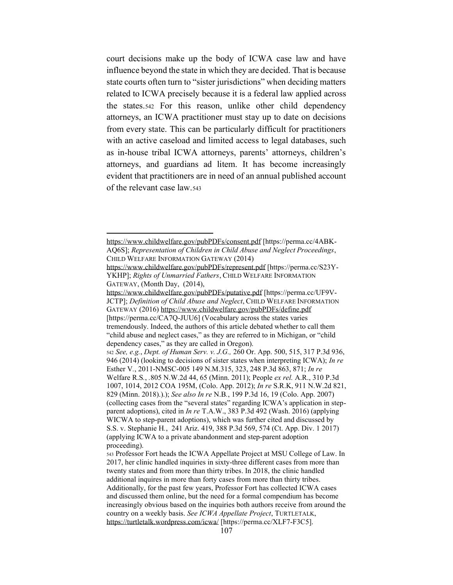court decisions make up the body of ICWA case law and have influence beyond the state in which they are decided. That is because state courts often turn to "sister jurisdictions" when deciding matters related to ICWA precisely because it is a federal law applied across the states.542 For this reason, unlike other child dependency attorneys, an ICWA practitioner must stay up to date on decisions from every state. This can be particularly difficult for practitioners with an active caseload and limited access to legal databases, such as in-house tribal ICWA attorneys, parents' attorneys, children's attorneys, and guardians ad litem. It has become increasingly evident that practitioners are in need of an annual published account of the relevant case law.543

https://www.childwelfare.gov/pubPDFs/consent.pdf [https://perma.cc/4ABK-AQ6S]; *Representation of Children in Child Abuse and Neglect Proceedings*, CHILD WELFARE INFORMATION GATEWAY (2014)

https://www.childwelfare.gov/pubPDFs/represent.pdf [https://perma.cc/S23Y-YKHP]; *Rights of Unmarried Fathers*, CHILD WELFARE INFORMATION GATEWAY, (Month Day, (2014),

https://www.childwelfare.gov/pubPDFs/putative.pdf [https://perma.cc/UF9V-JCTP]; *Definition of Child Abuse and Neglect*, CHILD WELFARE INFORMATION GATEWAY (2016) https://www.childwelfare.gov/pubPDFs/define.pdf [https://perma.cc/CA7Q-JUU6] (Vocabulary across the states varies tremendously. Indeed, the authors of this article debated whether to call them "child abuse and neglect cases," as they are referred to in Michigan, or "child dependency cases," as they are called in Oregon).

<sup>542</sup> *See, e.g.*, *Dept. of Human Serv. v. J.G.,* 260 Or. App. 500, 515, 317 P.3d 936, 946 (2014) (looking to decisions of sister states when interpreting ICWA); *In re* Esther V*.*, 2011-NMSC-005 149 N.M.315, 323, 248 P.3d 863, 871; *In re* Welfare R.S*.*, *.*805 N.W.2d 44, 65 (Minn. 2011); People *ex rel.* A.R., 310 P.3d 1007, 1014, 2012 COA 195M, (Colo. App. 2012); *In re* S.R.K, 911 N.W.2d 821, 829 (Minn. 2018).).); *See also In re* N.B*.*, 199 P.3d 16, 19 (Colo. App. 2007) (collecting cases from the "several states" regarding ICWA's application in stepparent adoptions), cited in *In re* T.A.W., 383 P.3d 492 (Wash. 2016) (applying WICWA to step-parent adoptions), which was further cited and discussed by S.S. v. Stephanie H*.*, 241 Ariz. 419, 388 P.3d 569, 574 (Ct. App. Div. 1 2017) (applying ICWA to a private abandonment and step-parent adoption proceeding).

<sup>543</sup> Professor Fort heads the ICWA Appellate Project at MSU College of Law. In 2017, her clinic handled inquiries in sixty-three different cases from more than twenty states and from more than thirty tribes. In 2018, the clinic handled additional inquires in more than forty cases from more than thirty tribes. Additionally, for the past few years, Professor Fort has collected ICWA cases and discussed them online, but the need for a formal compendium has become increasingly obvious based on the inquiries both authors receive from around the country on a weekly basis. *See ICWA Appellate Project*, TURTLETALK, https://turtletalk.wordpress.com/icwa/ [https://perma.cc/XLF7-F3C5].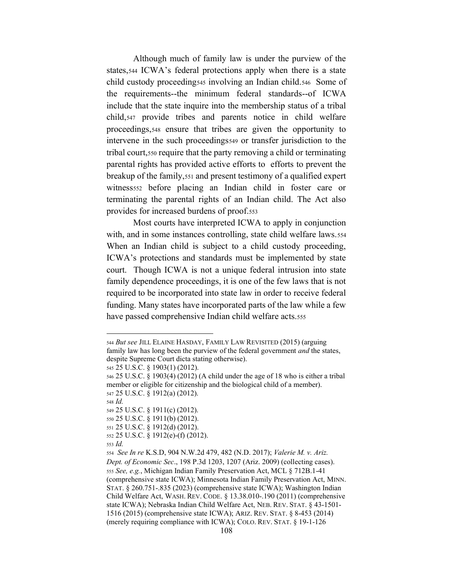Although much of family law is under the purview of the states,544 ICWA's federal protections apply when there is a state child custody proceeding545 involving an Indian child.546 Some of the requirements--the minimum federal standards--of ICWA include that the state inquire into the membership status of a tribal child,547 provide tribes and parents notice in child welfare proceedings,548 ensure that tribes are given the opportunity to intervene in the such proceedings549 or transfer jurisdiction to the tribal court,550 require that the party removing a child or terminating parental rights has provided active efforts to efforts to prevent the breakup of the family,551 and present testimony of a qualified expert witness<sub>552</sub> before placing an Indian child in foster care or terminating the parental rights of an Indian child. The Act also provides for increased burdens of proof.553

Most courts have interpreted ICWA to apply in conjunction with, and in some instances controlling, state child welfare laws.554 When an Indian child is subject to a child custody proceeding, ICWA's protections and standards must be implemented by state court. Though ICWA is not a unique federal intrusion into state family dependence proceedings, it is one of the few laws that is not required to be incorporated into state law in order to receive federal funding. Many states have incorporated parts of the law while a few have passed comprehensive Indian child welfare acts.555

<sup>545</sup> 25 U.S.C. § 1903(1) (2012).

<sup>548</sup> *Id.*

<sup>549</sup> 25 U.S.C. § 1911(c) (2012).

<sup>550</sup> 25 U.S.C. § 1911(b) (2012).

<sup>544</sup> *But see* JILL ELAINE HASDAY, FAMILY LAW REVISITED (2015) (arguing family law has long been the purview of the federal government *and* the states, despite Supreme Court dicta stating otherwise).

<sup>546</sup> 25 U.S.C. § 1903(4) (2012) (A child under the age of 18 who is either a tribal member or eligible for citizenship and the biological child of a member). <sup>547</sup> 25 U.S.C. § 1912(a) (2012).

<sup>551</sup> 25 U.S.C. § 1912(d) (2012).

<sup>552</sup> 25 U.S.C. § 1912(e)-(f) (2012).

<sup>553</sup> *Id.*

<sup>554</sup> *See In re* K.S.D, 904 N.W.2d 479, 482 (N.D. 2017); *Valerie M. v. Ariz. Dept. of Economic Sec*., 198 P.3d 1203, 1207 (Ariz. 2009) (collecting cases). <sup>555</sup> *See, e.g.*, Michigan Indian Family Preservation Act, MCL § 712B.1-41 (comprehensive state ICWA); Minnesota Indian Family Preservation Act, MINN. STAT. § 260.751-.835 (2023) (comprehensive state ICWA); Washington Indian Child Welfare Act, WASH. REV. CODE. § 13.38.010-.190 (2011) (comprehensive state ICWA); Nebraska Indian Child Welfare Act, NEB. REV. STAT. § 43-1501- 1516 (2015) (comprehensive state ICWA); ARIZ. REV. STAT. § 8-453 (2014) (merely requiring compliance with ICWA); COLO. REV. STAT. § 19-1-126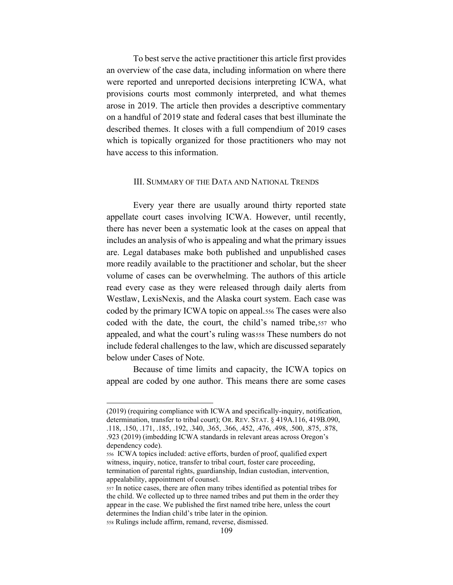To best serve the active practitioner this article first provides an overview of the case data, including information on where there were reported and unreported decisions interpreting ICWA, what provisions courts most commonly interpreted, and what themes arose in 2019. The article then provides a descriptive commentary on a handful of 2019 state and federal cases that best illuminate the described themes. It closes with a full compendium of 2019 cases which is topically organized for those practitioners who may not have access to this information.

#### III. SUMMARY OF THE DATA AND NATIONAL TRENDS

Every year there are usually around thirty reported state appellate court cases involving ICWA. However, until recently, there has never been a systematic look at the cases on appeal that includes an analysis of who is appealing and what the primary issues are. Legal databases make both published and unpublished cases more readily available to the practitioner and scholar, but the sheer volume of cases can be overwhelming. The authors of this article read every case as they were released through daily alerts from Westlaw, LexisNexis, and the Alaska court system. Each case was coded by the primary ICWA topic on appeal.556 The cases were also coded with the date, the court, the child's named tribe, 557 who appealed, and what the court's ruling wasss These numbers do not include federal challenges to the law, which are discussed separately below under Cases of Note.

Because of time limits and capacity, the ICWA topics on appeal are coded by one author. This means there are some cases

<sup>(2019) (</sup>requiring compliance with ICWA and specifically-inquiry, notification, determination, transfer to tribal court); OR. REV. STAT. § 419A.116, 419B.090, .118, .150, .171, .185, .192, .340, .365, .366, .452, .476, .498, .500, .875, .878, .923 (2019) (imbedding ICWA standards in relevant areas across Oregon's dependency code).

<sup>556</sup> ICWA topics included: active efforts, burden of proof, qualified expert witness, inquiry, notice, transfer to tribal court, foster care proceeding, termination of parental rights, guardianship, Indian custodian, intervention, appealability, appointment of counsel.

<sup>557</sup> In notice cases, there are often many tribes identified as potential tribes for the child. We collected up to three named tribes and put them in the order they appear in the case. We published the first named tribe here, unless the court determines the Indian child's tribe later in the opinion. <sup>558</sup> Rulings include affirm, remand, reverse, dismissed.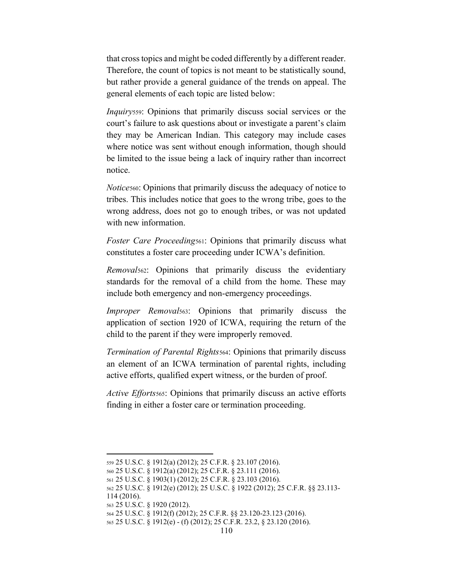that cross topics and might be coded differently by a different reader. Therefore, the count of topics is not meant to be statistically sound, but rather provide a general guidance of the trends on appeal. The general elements of each topic are listed below:

*Inquiry*559: Opinions that primarily discuss social services or the court's failure to ask questions about or investigate a parent's claim they may be American Indian. This category may include cases where notice was sent without enough information, though should be limited to the issue being a lack of inquiry rather than incorrect notice.

*Notice*560: Opinions that primarily discuss the adequacy of notice to tribes. This includes notice that goes to the wrong tribe, goes to the wrong address, does not go to enough tribes, or was not updated with new information.

*Foster Care Proceeding*561: Opinions that primarily discuss what constitutes a foster care proceeding under ICWA's definition.

*Removal*562: Opinions that primarily discuss the evidentiary standards for the removal of a child from the home. These may include both emergency and non-emergency proceedings.

*Improper Removal*563: Opinions that primarily discuss the application of section 1920 of ICWA, requiring the return of the child to the parent if they were improperly removed.

*Termination of Parental Rights*564: Opinions that primarily discuss an element of an ICWA termination of parental rights, including active efforts, qualified expert witness, or the burden of proof.

*Active Efforts*565: Opinions that primarily discuss an active efforts finding in either a foster care or termination proceeding.

<sup>559</sup> 25 U.S.C. § 1912(a) (2012); 25 C.F.R. § 23.107 (2016).

<sup>560</sup> 25 U.S.C. § 1912(a) (2012); 25 C.F.R. § 23.111 (2016).

<sup>561</sup> 25 U.S.C. § 1903(1) (2012); 25 C.F.R. § 23.103 (2016).

<sup>562</sup> 25 U.S.C. § 1912(e) (2012); 25 U.S.C. § 1922 (2012); 25 C.F.R. §§ 23.113- 114 (2016).

<sup>563</sup> 25 U.S.C. § 1920 (2012).

<sup>564</sup> 25 U.S.C. § 1912(f) (2012); 25 C.F.R. §§ 23.120-23.123 (2016).

<sup>565</sup> 25 U.S.C. § 1912(e) - (f) (2012); 25 C.F.R. 23.2, § 23.120 (2016).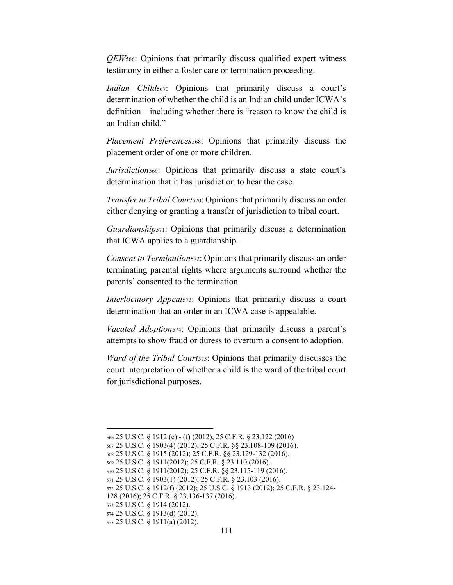*QEW*566: Opinions that primarily discuss qualified expert witness testimony in either a foster care or termination proceeding.

*Indian Child*<sub>567</sub>: Opinions that primarily discuss a court's determination of whether the child is an Indian child under ICWA's definition—including whether there is "reason to know the child is an Indian child."

*Placement Preferences*568: Opinions that primarily discuss the placement order of one or more children.

*Jurisdiction*<sup>569</sup>: Opinions that primarily discuss a state court's determination that it has jurisdiction to hear the case.

*Transfer to Tribal Court*570: Opinions that primarily discuss an order either denying or granting a transfer of jurisdiction to tribal court.

*Guardianship*571: Opinions that primarily discuss a determination that ICWA applies to a guardianship.

*Consent to Termination*572: Opinions that primarily discuss an order terminating parental rights where arguments surround whether the parents' consented to the termination.

*Interlocutory Appeal*573: Opinions that primarily discuss a court determination that an order in an ICWA case is appealable.

*Vacated Adoption*574: Opinions that primarily discuss a parent's attempts to show fraud or duress to overturn a consent to adoption.

*Ward of the Tribal Court*575: Opinions that primarily discusses the court interpretation of whether a child is the ward of the tribal court for jurisdictional purposes.

<sup>566</sup> 25 U.S.C. § 1912 (e) - (f) (2012); 25 C.F.R. § 23.122 (2016)

<sup>567</sup> 25 U.S.C. § 1903(4) (2012); 25 C.F.R. §§ 23.108-109 (2016).

<sup>568</sup> 25 U.S.C. § 1915 (2012); 25 C.F.R. §§ 23.129-132 (2016).

<sup>569</sup> 25 U.S.C. § 1911(2012); 25 C.F.R. § 23.110 (2016).

<sup>570</sup> 25 U.S.C. § 1911(2012); 25 C.F.R. §§ 23.115-119 (2016).

<sup>571</sup> 25 U.S.C. § 1903(1) (2012); 25 C.F.R. § 23.103 (2016).

<sup>572</sup> 25 U.S.C. § 1912(f) (2012); 25 U.S.C. § 1913 (2012); 25 C.F.R. § 23.124-

<sup>128 (2016); 25</sup> C.F.R. § 23.136-137 (2016).

<sup>573</sup> 25 U.S.C. § 1914 (2012).

<sup>574</sup> 25 U.S.C. § 1913(d) (2012). <sup>575</sup> 25 U.S.C. § 1911(a) (2012).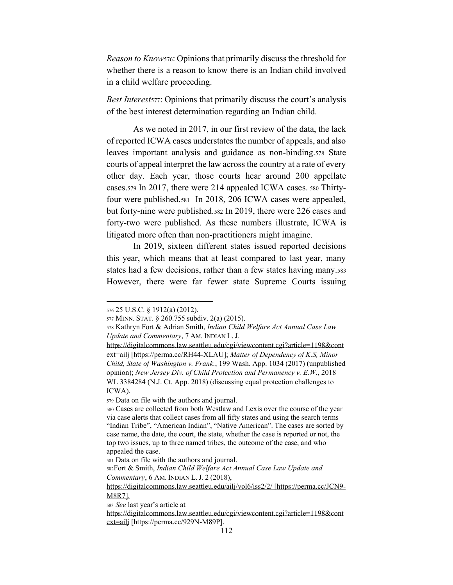*Reason to Know*576: Opinions that primarily discuss the threshold for whether there is a reason to know there is an Indian child involved in a child welfare proceeding.

*Best Interests*<sup>77</sup>: Opinions that primarily discuss the court's analysis of the best interest determination regarding an Indian child.

As we noted in 2017, in our first review of the data, the lack of reported ICWA cases understates the number of appeals, and also leaves important analysis and guidance as non-binding.578 State courts of appeal interpret the law across the country at a rate of every other day. Each year, those courts hear around 200 appellate cases.579 In 2017, there were 214 appealed ICWA cases. <sup>580</sup> Thirtyfour were published.581 In 2018, 206 ICWA cases were appealed, but forty-nine were published.582 In 2019, there were 226 cases and forty-two were published. As these numbers illustrate, ICWA is litigated more often than non-practitioners might imagine.

In 2019, sixteen different states issued reported decisions this year, which means that at least compared to last year, many states had a few decisions, rather than a few states having many.583 However, there were far fewer state Supreme Courts issuing

<sup>576</sup> 25 U.S.C. § 1912(a) (2012).

<sup>577</sup> MINN. STAT. § 260.755 subdiv. 2(a) (2015).

<sup>578</sup> Kathryn Fort & Adrian Smith, *Indian Child Welfare Act Annual Case Law Update and Commentary*, 7 AM. INDIAN L. J.

https://digitalcommons.law.seattleu.edu/cgi/viewcontent.cgi?article=1198&cont ext=ailj [https://perma.cc/RH44-XLAU]; *Matter of Dependency of K.S, Minor Child, State of Washington v. Frank.*, 199 Wash. App. 1034 (2017) (unpublished opinion); *New Jersey Div. of Child Protection and Permanency v. E.W.*, 2018 WL 3384284 (N.J. Ct. App. 2018) (discussing equal protection challenges to ICWA).

<sup>579</sup> Data on file with the authors and journal.

<sup>580</sup> Cases are collected from both Westlaw and Lexis over the course of the year via case alerts that collect cases from all fifty states and using the search terms "Indian Tribe", "American Indian", "Native American". The cases are sorted by case name, the date, the court, the state, whether the case is reported or not, the top two issues, up to three named tribes, the outcome of the case, and who appealed the case.

<sup>581</sup> Data on file with the authors and journal.

<sup>582</sup>Fort & Smith, *Indian Child Welfare Act Annual Case Law Update and Commentary*, 6 AM. INDIAN L. J. 2 (2018),

https://digitalcommons.law.seattleu.edu/ailj/vol6/iss2/2/ [https://perma.cc/JCN9- M8R7].

<sup>583</sup> *See* last year's article at

https://digitalcommons.law.seattleu.edu/cgi/viewcontent.cgi?article=1198&cont ext=ailj [https://perma.cc/929N-M89P].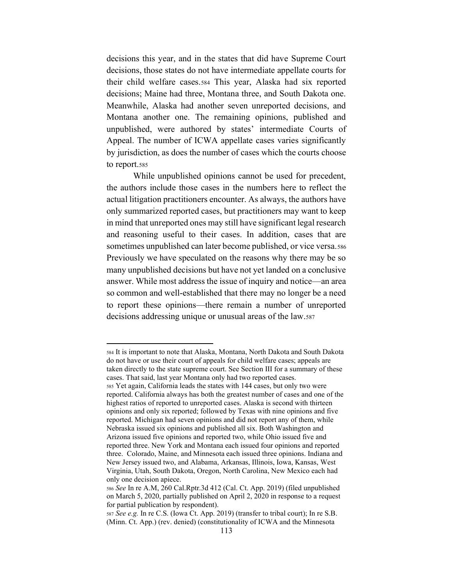decisions this year, and in the states that did have Supreme Court decisions, those states do not have intermediate appellate courts for their child welfare cases.584 This year, Alaska had six reported decisions; Maine had three, Montana three, and South Dakota one. Meanwhile, Alaska had another seven unreported decisions, and Montana another one. The remaining opinions, published and unpublished, were authored by states' intermediate Courts of Appeal. The number of ICWA appellate cases varies significantly by jurisdiction, as does the number of cases which the courts choose to report.585

While unpublished opinions cannot be used for precedent, the authors include those cases in the numbers here to reflect the actual litigation practitioners encounter. As always, the authors have only summarized reported cases, but practitioners may want to keep in mind that unreported ones may still have significant legal research and reasoning useful to their cases. In addition, cases that are sometimes unpublished can later become published, or vice versa.586 Previously we have speculated on the reasons why there may be so many unpublished decisions but have not yet landed on a conclusive answer. While most address the issue of inquiry and notice—an area so common and well-established that there may no longer be a need to report these opinions—there remain a number of unreported decisions addressing unique or unusual areas of the law.587

<sup>584</sup> It is important to note that Alaska, Montana, North Dakota and South Dakota do not have or use their court of appeals for child welfare cases; appeals are taken directly to the state supreme court. See Section III for a summary of these cases. That said, last year Montana only had two reported cases. <sup>585</sup> Yet again, California leads the states with 144 cases, but only two were reported. California always has both the greatest number of cases and one of the highest ratios of reported to unreported cases. Alaska is second with thirteen opinions and only six reported; followed by Texas with nine opinions and five reported. Michigan had seven opinions and did not report any of them, while Nebraska issued six opinions and published all six. Both Washington and Arizona issued five opinions and reported two, while Ohio issued five and reported three. New York and Montana each issued four opinions and reported three. Colorado, Maine, and Minnesota each issued three opinions. Indiana and New Jersey issued two, and Alabama, Arkansas, Illinois, Iowa, Kansas, West Virginia, Utah, South Dakota, Oregon, North Carolina, New Mexico each had only one decision apiece.

<sup>586</sup> *See* In re A.M, 260 Cal.Rptr.3d 412 (Cal. Ct. App. 2019) (filed unpublished on March 5, 2020, partially published on April 2, 2020 in response to a request for partial publication by respondent).

<sup>587</sup> *See e.g.* In re C.S. (Iowa Ct. App. 2019) (transfer to tribal court); In re S.B. (Minn. Ct. App.) (rev. denied) (constitutionality of ICWA and the Minnesota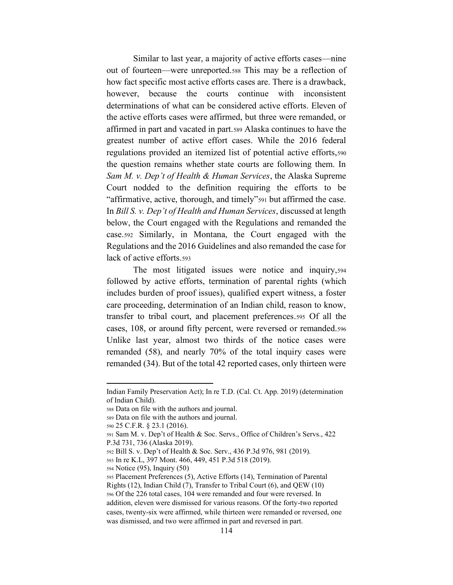Similar to last year, a majority of active efforts cases—nine out of fourteen—were unreported.588 This may be a reflection of how fact specific most active efforts cases are. There is a drawback, however, because the courts continue with inconsistent determinations of what can be considered active efforts. Eleven of the active efforts cases were affirmed, but three were remanded, or affirmed in part and vacated in part.589 Alaska continues to have the greatest number of active effort cases. While the 2016 federal regulations provided an itemized list of potential active efforts,590 the question remains whether state courts are following them. In *Sam M. v. Dep't of Health & Human Services, the Alaska Supreme* Court nodded to the definition requiring the efforts to be "affirmative, active, thorough, and timely"<sup>591</sup> but affirmed the case. In *Bill S. v. Dep't of Health and Human Services*, discussed at length below, the Court engaged with the Regulations and remanded the case.592 Similarly, in Montana, the Court engaged with the Regulations and the 2016 Guidelines and also remanded the case for lack of active efforts.593

The most litigated issues were notice and inquiry,594 followed by active efforts, termination of parental rights (which includes burden of proof issues), qualified expert witness, a foster care proceeding, determination of an Indian child, reason to know, transfer to tribal court, and placement preferences.595 Of all the cases, 108, or around fifty percent, were reversed or remanded.596 Unlike last year, almost two thirds of the notice cases were remanded (58), and nearly 70% of the total inquiry cases were remanded (34). But of the total 42 reported cases, only thirteen were

<sup>594</sup> Notice (95), Inquiry (50)

Indian Family Preservation Act); In re T.D. (Cal. Ct. App. 2019) (determination of Indian Child).

<sup>588</sup> Data on file with the authors and journal.

<sup>589</sup> Data on file with the authors and journal.

<sup>590</sup> 25 C.F.R. § 23.1 (2016).

<sup>591</sup> Sam M. v. Dep't of Health & Soc. Servs., Office of Children's Servs., 422 P.3d 731, 736 (Alaska 2019).

<sup>592</sup> Bill S. v. Dep't of Health & Soc. Serv., 436 P.3d 976, 981 (2019).

<sup>593</sup> In re K.L, 397 Mont. 466, 449, 451 P.3d 518 (2019).

<sup>595</sup> Placement Preferences (5), Active Efforts (14), Termination of Parental Rights (12), Indian Child (7), Transfer to Tribal Court (6), and QEW (10) <sup>596</sup> Of the 226 total cases, 104 were remanded and four were reversed. In addition, eleven were dismissed for various reasons. Of the forty-two reported cases, twenty-six were affirmed, while thirteen were remanded or reversed, one was dismissed, and two were affirmed in part and reversed in part.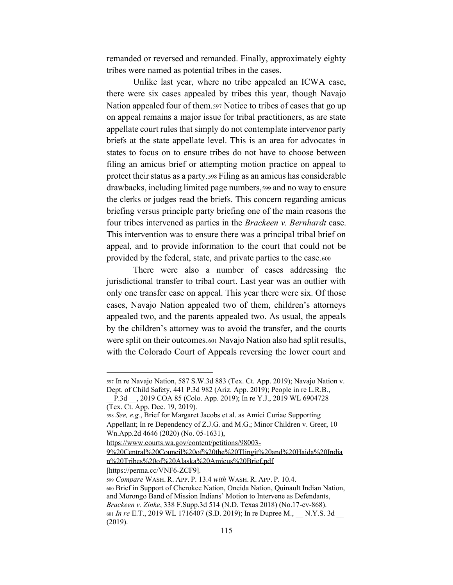remanded or reversed and remanded. Finally, approximately eighty tribes were named as potential tribes in the cases.

Unlike last year, where no tribe appealed an ICWA case, there were six cases appealed by tribes this year, though Navajo Nation appealed four of them.597 Notice to tribes of cases that go up on appeal remains a major issue for tribal practitioners, as are state appellate court rules that simply do not contemplate intervenor party briefs at the state appellate level. This is an area for advocates in states to focus on to ensure tribes do not have to choose between filing an amicus brief or attempting motion practice on appeal to protect their status as a party.598 Filing as an amicus has considerable drawbacks, including limited page numbers,599 and no way to ensure the clerks or judges read the briefs. This concern regarding amicus briefing versus principle party briefing one of the main reasons the four tribes intervened as parties in the *Brackeen v. Bernhardt* case. This intervention was to ensure there was a principal tribal brief on appeal, and to provide information to the court that could not be provided by the federal, state, and private parties to the case.600

There were also a number of cases addressing the jurisdictional transfer to tribal court. Last year was an outlier with only one transfer case on appeal. This year there were six. Of those cases, Navajo Nation appealed two of them, children's attorneys appealed two, and the parents appealed two. As usual, the appeals by the children's attorney was to avoid the transfer, and the courts were split on their outcomes.601 Navajo Nation also had split results, with the Colorado Court of Appeals reversing the lower court and

<sup>597</sup> In re Navajo Nation, 587 S.W.3d 883 (Tex. Ct. App. 2019); Navajo Nation v. Dept. of Child Safety, 441 P.3d 982 (Ariz. App. 2019); People in re L.R.B.,

\_\_P.3d \_\_, 2019 COA 85 (Colo. App. 2019); In re Y.J., 2019 WL 6904728 (Tex. Ct. App. Dec. 19, 2019).

<sup>598</sup> *See, e.g.*, Brief for Margaret Jacobs et al. as Amici Curiae Supporting Appellant; In re Dependency of Z.J.G. and M.G.; Minor Children v. Greer, 10 Wn.App.2d 4646 (2020) (No. 05-1631),

https://www.courts.wa.gov/content/petitions/98003-

<sup>9%20</sup>Central%20Council%20of%20the%20Tlingit%20and%20Haida%20India n%20Tribes%20of%20Alaska%20Amicus%20Brief.pdf

<sup>[</sup>https://perma.cc/VNF6-ZCF9].

<sup>599</sup> *Compare* WASH. R. APP. P. 13.4 *with* WASH. R. APP. P. 10.4. <sup>600</sup> Brief in Support of Cherokee Nation, Oneida Nation, Quinault Indian Nation, and Morongo Band of Mission Indians' Motion to Intervene as Defendants, *Brackeen v. Zinke*, 338 F.Supp.3d 514 (N.D. Texas 2018) (No.17-cv-868). <sup>601</sup> *In re* E.T., 2019 WL 1716407 (S.D. 2019); In re Dupree M., \_\_ N.Y.S. 3d \_\_ (2019).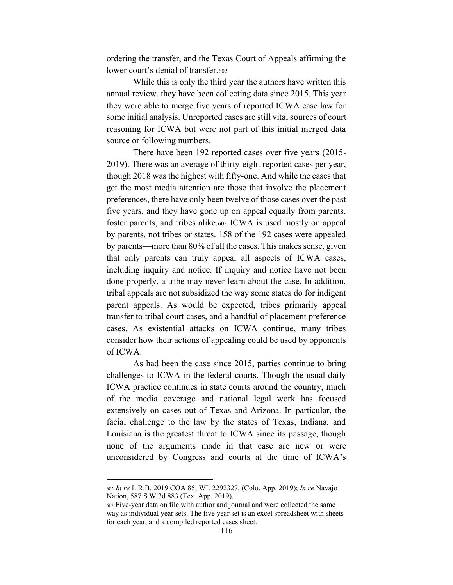ordering the transfer, and the Texas Court of Appeals affirming the lower court's denial of transfer.602

While this is only the third year the authors have written this annual review, they have been collecting data since 2015. This year they were able to merge five years of reported ICWA case law for some initial analysis. Unreported cases are still vital sources of court reasoning for ICWA but were not part of this initial merged data source or following numbers.

There have been 192 reported cases over five years (2015- 2019). There was an average of thirty-eight reported cases per year, though 2018 was the highest with fifty-one. And while the cases that get the most media attention are those that involve the placement preferences, there have only been twelve of those cases over the past five years, and they have gone up on appeal equally from parents, foster parents, and tribes alike.603 ICWA is used mostly on appeal by parents, not tribes or states. 158 of the 192 cases were appealed by parents—more than 80% of all the cases. This makes sense, given that only parents can truly appeal all aspects of ICWA cases, including inquiry and notice. If inquiry and notice have not been done properly, a tribe may never learn about the case. In addition, tribal appeals are not subsidized the way some states do for indigent parent appeals. As would be expected, tribes primarily appeal transfer to tribal court cases, and a handful of placement preference cases. As existential attacks on ICWA continue, many tribes consider how their actions of appealing could be used by opponents of ICWA.

As had been the case since 2015, parties continue to bring challenges to ICWA in the federal courts. Though the usual daily ICWA practice continues in state courts around the country, much of the media coverage and national legal work has focused extensively on cases out of Texas and Arizona. In particular, the facial challenge to the law by the states of Texas, Indiana, and Louisiana is the greatest threat to ICWA since its passage, though none of the arguments made in that case are new or were unconsidered by Congress and courts at the time of ICWA's

<sup>602</sup> *In re* L.R.B. 2019 COA 85, WL 2292327, (Colo. App. 2019); *In re* Navajo Nation, 587 S.W.3d 883 (Tex. App. 2019).

<sup>603</sup> Five-year data on file with author and journal and were collected the same way as individual year sets. The five year set is an excel spreadsheet with sheets for each year, and a compiled reported cases sheet.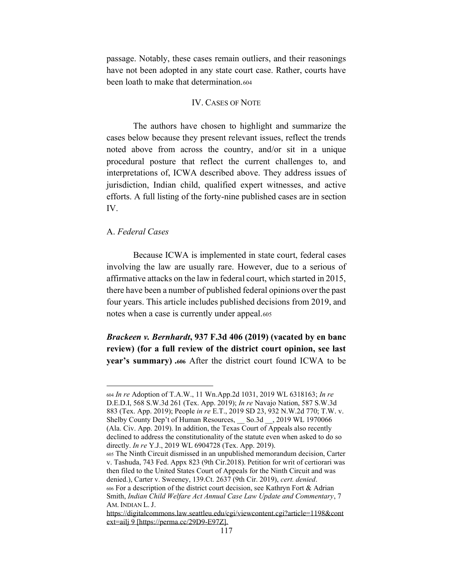passage. Notably, these cases remain outliers, and their reasonings have not been adopted in any state court case. Rather, courts have been loath to make that determination.604

### IV. CASES OF NOTE

The authors have chosen to highlight and summarize the cases below because they present relevant issues, reflect the trends noted above from across the country, and/or sit in a unique procedural posture that reflect the current challenges to, and interpretations of, ICWA described above. They address issues of jurisdiction, Indian child, qualified expert witnesses, and active efforts. A full listing of the forty-nine published cases are in section IV.

## A. *Federal Cases*

Because ICWA is implemented in state court, federal cases involving the law are usually rare. However, due to a serious of affirmative attacks on the law in federal court, which started in 2015, there have been a number of published federal opinions over the past four years. This article includes published decisions from 2019, and notes when a case is currently under appeal.605

*Brackeen v. Bernhardt***, 937 F.3d 406 (2019) (vacated by en banc review) (for a full review of the district court opinion, see last year's summary) .606** After the district court found ICWA to be

<sup>604</sup> *In re* Adoption of T.A.W., 11 Wn.App.2d 1031, 2019 WL 6318163; *In re* D.E.D.I, 568 S.W.3d 261 (Tex. App. 2019); *In re* Navajo Nation, 587 S.W.3d 883 (Tex. App. 2019); People *in re* E.T., 2019 SD 23, 932 N.W.2d 770; T.W. v. Shelby County Dep't of Human Resources, \_\_ So.3d \_\_, 2019 WL 1970066 (Ala. Civ. App. 2019). In addition, the Texas Court of Appeals also recently declined to address the constitutionality of the statute even when asked to do so directly. *In re* Y.J., 2019 WL 6904728 (Tex. App. 2019).

<sup>605</sup> The Ninth Circuit dismissed in an unpublished memorandum decision, Carter v. Tashuda, 743 Fed. Appx 823 (9th Cir.2018). Petition for writ of certiorari was then filed to the United States Court of Appeals for the Ninth Circuit and was denied.), Carter v. Sweeney, 139.Ct. 2637 (9th Cir. 2019), *cert. denied*. <sup>606</sup> For a description of the district court decision, see Kathryn Fort & Adrian Smith, *Indian Child Welfare Act Annual Case Law Update and Commentary*, 7 AM. INDIAN L. J.

https://digitalcommons.law.seattleu.edu/cgi/viewcontent.cgi?article=1198&cont ext=ailj 9 [https://perma.cc/29D9-E97Z].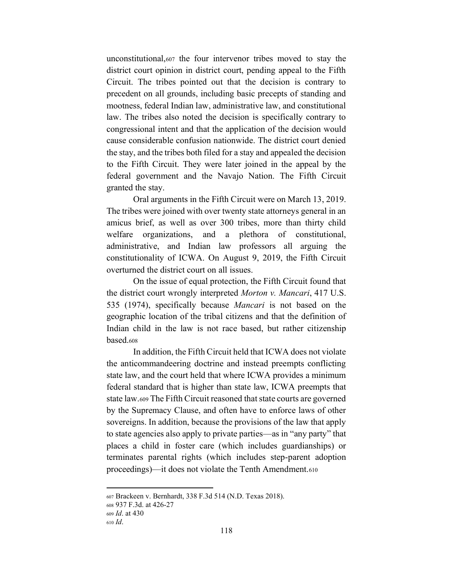unconstitutional,607 the four intervenor tribes moved to stay the district court opinion in district court, pending appeal to the Fifth Circuit. The tribes pointed out that the decision is contrary to precedent on all grounds, including basic precepts of standing and mootness, federal Indian law, administrative law, and constitutional law. The tribes also noted the decision is specifically contrary to congressional intent and that the application of the decision would cause considerable confusion nationwide. The district court denied the stay, and the tribes both filed for a stay and appealed the decision to the Fifth Circuit. They were later joined in the appeal by the federal government and the Navajo Nation. The Fifth Circuit granted the stay.

Oral arguments in the Fifth Circuit were on March 13, 2019. The tribes were joined with over twenty state attorneys general in an amicus brief, as well as over 300 tribes, more than thirty child welfare organizations, and a plethora of constitutional, administrative, and Indian law professors all arguing the constitutionality of ICWA. On August 9, 2019, the Fifth Circuit overturned the district court on all issues.

On the issue of equal protection, the Fifth Circuit found that the district court wrongly interpreted *Morton v. Mancari*, 417 U.S. 535 (1974), specifically because *Mancari* is not based on the geographic location of the tribal citizens and that the definition of Indian child in the law is not race based, but rather citizenship based.608

In addition, the Fifth Circuit held that ICWA does not violate the anticommandeering doctrine and instead preempts conflicting state law, and the court held that where ICWA provides a minimum federal standard that is higher than state law, ICWA preempts that state law.609 The Fifth Circuit reasoned that state courts are governed by the Supremacy Clause, and often have to enforce laws of other sovereigns. In addition, because the provisions of the law that apply to state agencies also apply to private parties—as in "any party" that places a child in foster care (which includes guardianships) or terminates parental rights (which includes step-parent adoption proceedings)—it does not violate the Tenth Amendment.<sup>610</sup>

<sup>607</sup> Brackeen v. Bernhardt, 338 F.3d 514 (N.D. Texas 2018).

<sup>608</sup> 937 F.3d. at 426-27

<sup>609</sup> *Id*. at 430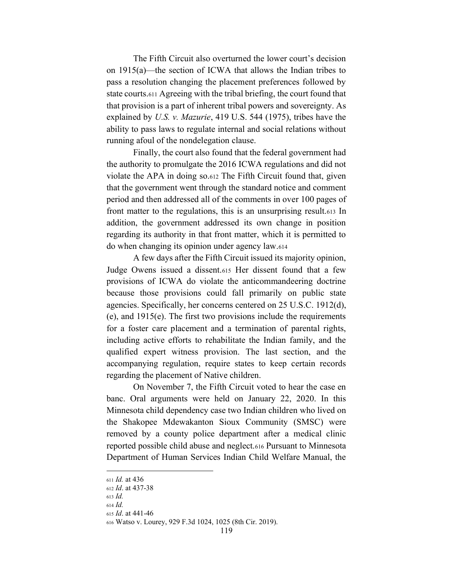The Fifth Circuit also overturned the lower court's decision on  $1915(a)$ —the section of ICWA that allows the Indian tribes to pass a resolution changing the placement preferences followed by state courts.611 Agreeing with the tribal briefing, the court found that that provision is a part of inherent tribal powers and sovereignty. As explained by *U.S. v. Mazurie*, 419 U.S. 544 (1975), tribes have the ability to pass laws to regulate internal and social relations without running afoul of the nondelegation clause.

Finally, the court also found that the federal government had the authority to promulgate the 2016 ICWA regulations and did not violate the APA in doing so.612 The Fifth Circuit found that, given that the government went through the standard notice and comment period and then addressed all of the comments in over 100 pages of front matter to the regulations, this is an unsurprising result.613 In addition, the government addressed its own change in position regarding its authority in that front matter, which it is permitted to do when changing its opinion under agency law.614

A few days after the Fifth Circuit issued its majority opinion, Judge Owens issued a dissent.615 Her dissent found that a few provisions of ICWA do violate the anticommandeering doctrine because those provisions could fall primarily on public state agencies. Specifically, her concerns centered on 25 U.S.C. 1912(d), (e), and 1915(e). The first two provisions include the requirements for a foster care placement and a termination of parental rights, including active efforts to rehabilitate the Indian family, and the qualified expert witness provision. The last section, and the accompanying regulation, require states to keep certain records regarding the placement of Native children.

On November 7, the Fifth Circuit voted to hear the case en banc. Oral arguments were held on January 22, 2020. In this Minnesota child dependency case two Indian children who lived on the Shakopee Mdewakanton Sioux Community (SMSC) were removed by a county police department after a medical clinic reported possible child abuse and neglect.616 Pursuant to Minnesota Department of Human Services Indian Child Welfare Manual, the

<sup>611</sup> *Id.* at 436

<sup>612</sup> *Id*. at 437-38

<sup>613</sup> *Id.* 

<sup>614</sup> *Id.*

<sup>615</sup> *Id*. at 441-46

<sup>616</sup> Watso v. Lourey, 929 F.3d 1024, 1025 (8th Cir. 2019).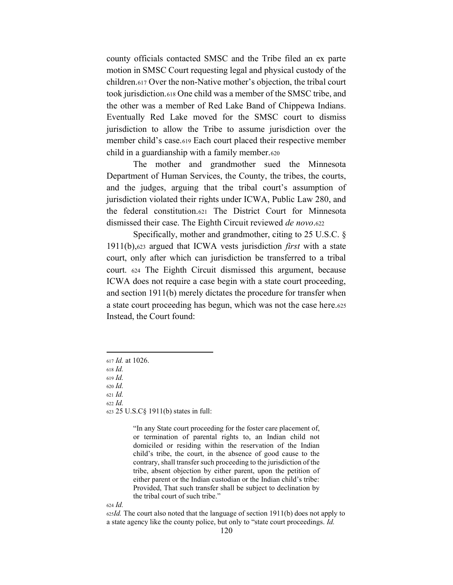county officials contacted SMSC and the Tribe filed an ex parte motion in SMSC Court requesting legal and physical custody of the children.617 Over the non-Native mother's objection, the tribal court took jurisdiction.618 One child was a member of the SMSC tribe, and the other was a member of Red Lake Band of Chippewa Indians. Eventually Red Lake moved for the SMSC court to dismiss jurisdiction to allow the Tribe to assume jurisdiction over the member child's case.<sup>619</sup> Each court placed their respective member child in a guardianship with a family member.620

The mother and grandmother sued the Minnesota Department of Human Services, the County, the tribes, the courts, and the judges, arguing that the tribal court's assumption of jurisdiction violated their rights under ICWA, Public Law 280, and the federal constitution.621 The District Court for Minnesota dismissed their case. The Eighth Circuit reviewed *de novo*.622

Specifically, mother and grandmother, citing to 25 U.S.C. § 1911(b),623 argued that ICWA vests jurisdiction *first* with a state court, only after which can jurisdiction be transferred to a tribal court. 624 The Eighth Circuit dismissed this argument, because ICWA does not require a case begin with a state court proceeding, and section 1911(b) merely dictates the procedure for transfer when a state court proceeding has begun, which was not the case here.625 Instead, the Court found:

<sup>621</sup> *Id.*

<sup>622</sup> *Id.*

<sup>623</sup> 25 U.S.C§ 1911(b) states in full:

"In any State court proceeding for the foster care placement of, or termination of parental rights to, an Indian child not domiciled or residing within the reservation of the Indian child's tribe, the court, in the absence of good cause to the contrary, shall transfer such proceeding to the jurisdiction of the tribe, absent objection by either parent, upon the petition of either parent or the Indian custodian or the Indian child's tribe: Provided, That such transfer shall be subject to declination by the tribal court of such tribe."

<sup>624</sup> *Id.*

<sup>625</sup>*Id.* The court also noted that the language of section 1911(b) does not apply to a state agency like the county police, but only to "state court proceedings. *Id.* 

<sup>617</sup> *Id.* at 1026.

<sup>618</sup> *Id.* 

<sup>619</sup> *Id.*

<sup>620</sup> *Id.*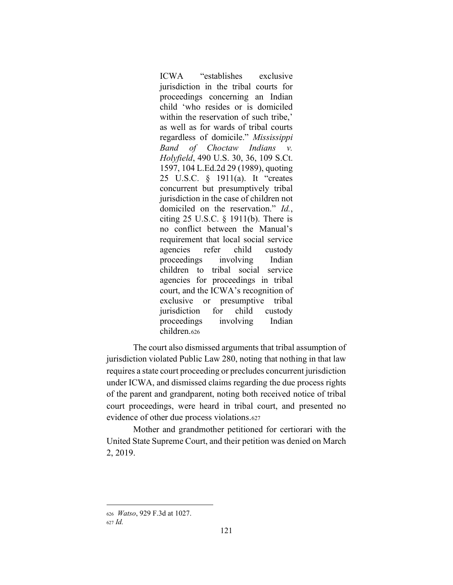ICWA "establishes exclusive" jurisdiction in the tribal courts for proceedings concerning an Indian child 'who resides or is domiciled within the reservation of such tribe.' as well as for wards of tribal courts regardless of domicile." Mississippi *Band of Choctaw Indians v. Holyfield*, 490 U.S. 30, 36, 109 S.Ct. 1597, 104 L.Ed.2d 29 (1989), quoting 25 U.S.C.  $\S$  1911(a). It "creates concurrent but presumptively tribal jurisdiction in the case of children not domiciled on the reservation.<sup>"</sup> *Id.*, citing 25 U.S.C. § 1911(b). There is no conflict between the Manual's requirement that local social service agencies refer child custody proceedings involving Indian children to tribal social service agencies for proceedings in tribal court, and the ICWA's recognition of exclusive or presumptive tribal jurisdiction for child custody proceedings involving Indian children.626

The court also dismissed arguments that tribal assumption of jurisdiction violated Public Law 280, noting that nothing in that law requires a state court proceeding or precludes concurrent jurisdiction under ICWA, and dismissed claims regarding the due process rights of the parent and grandparent, noting both received notice of tribal court proceedings, were heard in tribal court, and presented no evidence of other due process violations.627

Mother and grandmother petitioned for certiorari with the United State Supreme Court, and their petition was denied on March 2, 2019.

<sup>626</sup> *Watso*, 929 F.3d at 1027.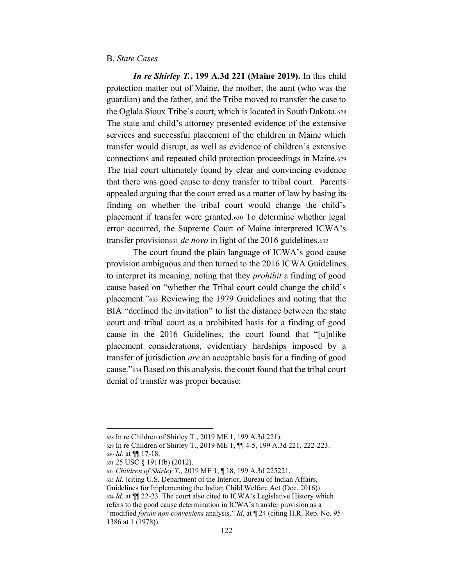## B. *State Cases*

*In re Shirley T.***, 199 A.3d 221 (Maine 2019).** In this child protection matter out of Maine, the mother, the aunt (who was the guardian) and the father, and the Tribe moved to transfer the case to the Oglala Sioux Tribe's court, which is located in South Dakota.628 The state and child's attorney presented evidence of the extensive services and successful placement of the children in Maine which transfer would disrupt, as well as evidence of children's extensive connections and repeated child protection proceedings in Maine.629 The trial court ultimately found by clear and convincing evidence that there was good cause to deny transfer to tribal court. Parents appealed arguing that the court erred as a matter of law by basing its finding on whether the tribal court would change the child's placement if transfer were granted.630 To determine whether legal error occurred, the Supreme Court of Maine interpreted ICWA's transfer provision631 *de novo* in light of the 2016 guidelines.632

The court found the plain language of ICWA's good cause provision ambiguous and then turned to the 2016 ICWA Guidelines to interpret its meaning, noting that they *prohibit* a finding of good cause based on "whether the Tribal court could change the child's placement."<sup>633</sup> Reviewing the 1979 Guidelines and noting that the BIA "declined the invitation" to list the distance between the state court and tribal court as a prohibited basis for a finding of good cause in the 2016 Guidelines, the court found that "[u]nlike placement considerations, evidentiary hardships imposed by a transfer of jurisdiction *are* an acceptable basis for a finding of good cause."<sup>634</sup> Based on this analysis, the court found that the tribal court denial of transfer was proper because:

<sup>628</sup> In re Children of Shirley T*.*, 2019 ME 1, 199 A.3d 221).

<sup>629</sup> In re Children of Shirley T., 2019 ME 1, ¶¶ 4-5, 199 A.3d 221, 222-223. <sup>630</sup> *Id.* at ¶¶ 17-18.

<sup>631</sup> 25 USC § 1911(b) (2012).

<sup>632</sup> *Children of Shirley T*., 2019 ME 1, ¶ 18, 199 A.3d 225221.

<sup>633</sup> *Id*. (citing U.S. Department of the Interior, Bureau of Indian Affairs, Guidelines for Implementing the Indian Child Welfare Act (Dec. 2016)). 634 *Id.* at  $\P$ [22-23. The court also cited to ICWA's Legislative History which refers to the good cause determination in ICWA's transfer provision as a "modified *forum non conveniens* analysis." *Id.* at  $\P$  24 (citing H.R. Rep. No. 95-1386 at 1 (1978)).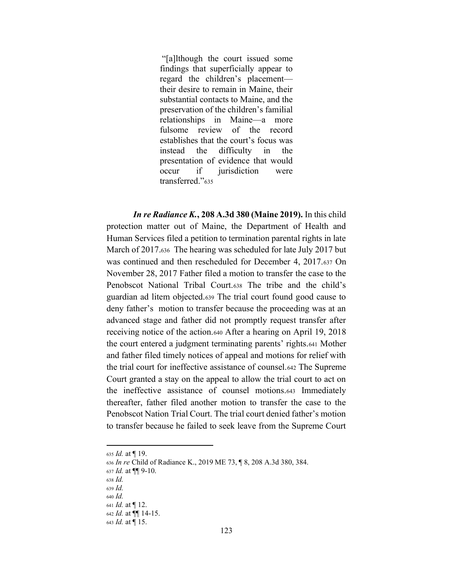"[a]lthough the court issued some" findings that superficially appear to regard the children's placement their desire to remain in Maine, their substantial contacts to Maine, and the preservation of the children's familial relationships in Maine—a more fulsome review of the record establishes that the court's focus was instead the difficulty in the presentation of evidence that would occur if jurisdiction were transferred."635

*In re Radiance K.***, 208 A.3d 380 (Maine 2019).** In this child protection matter out of Maine, the Department of Health and Human Services filed a petition to termination parental rights in late March of 2017.636 The hearing was scheduled for late July 2017 but was continued and then rescheduled for December 4, 2017.637 On November 28, 2017 Father filed a motion to transfer the case to the Penobscot National Tribal Court.638 The tribe and the child's guardian ad litem objected.639 The trial court found good cause to deny father's motion to transfer because the proceeding was at an advanced stage and father did not promptly request transfer after receiving notice of the action.640 After a hearing on April 19, 2018 the court entered a judgment terminating parents' rights.641 Mother and father filed timely notices of appeal and motions for relief with the trial court for ineffective assistance of counsel.642 The Supreme Court granted a stay on the appeal to allow the trial court to act on the ineffective assistance of counsel motions.643 Immediately thereafter, father filed another motion to transfer the case to the Penobscot Nation Trial Court. The trial court denied father's motion to transfer because he failed to seek leave from the Supreme Court

- <sup>638</sup> *Id.*
- <sup>639</sup> *Id.*

<sup>635</sup> *Id.* at ¶ 19.

<sup>636</sup> *In re* Child of Radiance K., 2019 ME 73, ¶ 8, 208 A.3d 380, 384.

<sup>637</sup> *Id.* at ¶¶ 9-10.

<sup>640</sup> *Id.*

<sup>641</sup> *Id.* at ¶ 12. <sup>642</sup> *Id.* at ¶¶ 14-15.

<sup>643</sup> *Id.* at ¶ 15.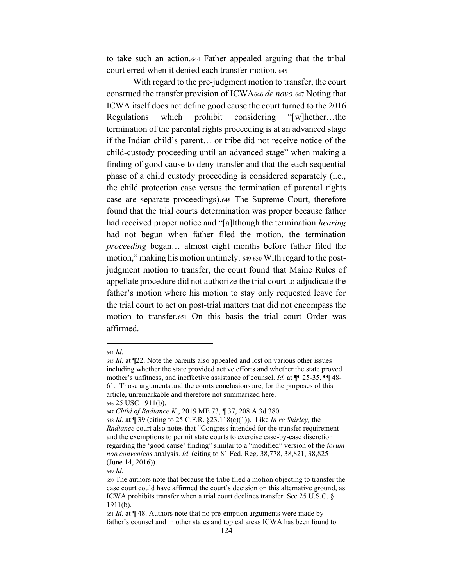to take such an action.644 Father appealed arguing that the tribal court erred when it denied each transfer motion. <sup>645</sup>

With regard to the pre-judgment motion to transfer, the court construed the transfer provision of ICWA646 *de novo*.647 Noting that ICWA itself does not define good cause the court turned to the 2016 Regulations which prohibit considering  $\lq$ [w]hether...the termination of the parental rights proceeding is at an advanced stage if the Indian child's parent... or tribe did not receive notice of the child-custody proceeding until an advanced stage" when making a finding of good cause to deny transfer and that the each sequential phase of a child custody proceeding is considered separately (i.e., the child protection case versus the termination of parental rights case are separate proceedings).648 The Supreme Court, therefore found that the trial courts determination was proper because father had received proper notice and "[a]lthough the termination *hearing* had not begun when father filed the motion, the termination *proceeding* began... almost eight months before father filed the motion," making his motion untimely. 649 650 With regard to the postjudgment motion to transfer, the court found that Maine Rules of appellate procedure did not authorize the trial court to adjudicate the father's motion where his motion to stay only requested leave for the trial court to act on post-trial matters that did not encompass the motion to transfer.651 On this basis the trial court Order was affirmed.

<sup>644</sup> *Id.*

<sup>645</sup> *Id.* at ¶22. Note the parents also appealed and lost on various other issues including whether the state provided active efforts and whether the state proved mother's unfitness, and ineffective assistance of counsel. *Id.* at  $\P$  25-35,  $\P$  48-61. Those arguments and the courts conclusions are, for the purposes of this article, unremarkable and therefore not summarized here. <sup>646</sup> 25 USC 1911(b).

<sup>647</sup> *Child of Radiance K*., 2019 ME 73, ¶ 37, 208 A.3d 380.

<sup>648</sup> *Id*. at ¶ 39 (citing to 25 C.F.R. §23.118(c)(1)). Like *In re Shirley,* the *Radiance* court also notes that "Congress intended for the transfer requirement and the exemptions to permit state courts to exercise case-by-case discretion regarding the 'good cause' finding" similar to a "modified" version of the *forum non conveniens* analysis. *Id*. (citing to 81 Fed. Reg. 38,778, 38,821, 38,825 (June 14, 2016)).

<sup>649</sup> *Id*.

<sup>650</sup> The authors note that because the tribe filed a motion objecting to transfer the case court could have affirmed the court's decision on this alternative ground, as ICWA prohibits transfer when a trial court declines transfer. See 25 U.S.C. § 1911(b).

<sup>651</sup> *Id.* at ¶ 48. Authors note that no pre-emption arguments were made by father's counsel and in other states and topical areas ICWA has been found to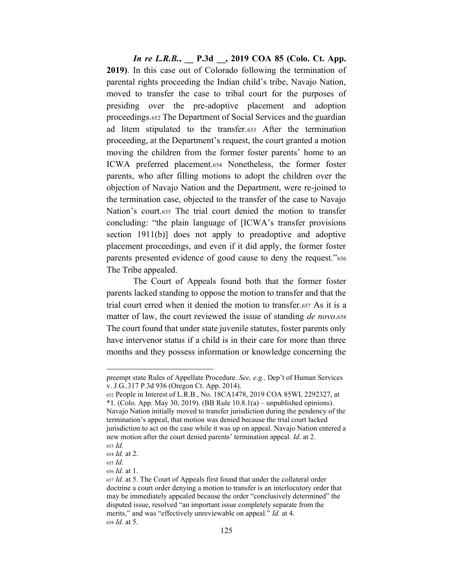*In re L.R.B.***, \_\_ P.3d \_\_, 2019 COA 85 (Colo. Ct. App. 2019)**. In this case out of Colorado following the termination of parental rights proceeding the Indian child's tribe, Navajo Nation, moved to transfer the case to tribal court for the purposes of presiding over the pre-adoptive placement and adoption proceedings.652 The Department of Social Services and the guardian ad litem stipulated to the transfer.653 After the termination proceeding, at the Department's request, the court granted a motion moving the children from the former foster parents' home to an ICWA preferred placement.654 Nonetheless, the former foster parents, who after filling motions to adopt the children over the objection of Navajo Nation and the Department, were re-joined to the termination case, objected to the transfer of the case to Navajo Nation's court.655 The trial court denied the motion to transfer concluding: "the plain language of [ICWA's transfer provisions section 1911(b)] does not apply to preadoptive and adoptive placement proceedings, and even if it did apply, the former foster parents presented evidence of good cause to deny the request."656 The Tribe appealed.

The Court of Appeals found both that the former foster parents lacked standing to oppose the motion to transfer and that the trial court erred when it denied the motion to transfer.657 As it is a matter of law, the court reviewed the issue of standing *de novo*.658 The court found that under state juvenile statutes, foster parents only have intervenor status if a child is in their care for more than three months and they possess information or knowledge concerning the

preempt state Rules of Appellate Procedure. *See, e.g., Dep't of Human Services* v. J.G*.,*317 P.3d 936 (Oregon Ct. App. 2014).

<sup>652</sup> People in Interest of L.R.B., No. 18CA1478, 2019 COA 85WL 2292327, at  $*1.$  (Colo. App. May 30, 2019). (BB Rule  $10.8.1(a)$  – unpublished opinions). Navajo Nation initially moved to transfer jurisdiction during the pendency of the termination's appeal, that motion was denied because the trial court lacked jurisdiction to act on the case while it was up on appeal. Navajo Nation entered a new motion after the court denied parents' termination appeal. *Id.* at 2. <sup>653</sup> *Id.*

<sup>654</sup> *Id.* at 2.

<sup>655</sup> *Id.*

<sup>656</sup> *Id.* at 1.

<sup>657</sup> *Id.* at 5. The Court of Appeals first found that under the collateral order doctrine a court order denying a motion to transfer is an interlocutory order that may be immediately appealed because the order "conclusively determined" the disputed issue, resolved "an important issue completely separate from the merits," and was "effectively unreviewable on appeal." *Id.* at 4. <sup>658</sup> *Id.* at 5.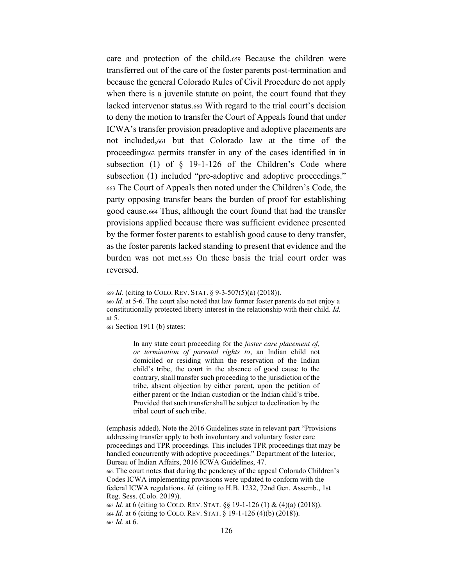care and protection of the child.659 Because the children were transferred out of the care of the foster parents post-termination and because the general Colorado Rules of Civil Procedure do not apply when there is a juvenile statute on point, the court found that they lacked intervenor status.660 With regard to the trial court's decision to deny the motion to transfer the Court of Appeals found that under ICWA's transfer provision preadoptive and adoptive placements are not included,661 but that Colorado law at the time of the proceeding662 permits transfer in any of the cases identified in in subsection (1) of  $\S$  19-1-126 of the Children's Code where subsection (1) included "pre-adoptive and adoptive proceedings." 663 The Court of Appeals then noted under the Children's Code, the party opposing transfer bears the burden of proof for establishing good cause.664 Thus, although the court found that had the transfer provisions applied because there was sufficient evidence presented by the former foster parents to establish good cause to deny transfer, as the foster parents lacked standing to present that evidence and the burden was not met.665 On these basis the trial court order was reversed.

In any state court proceeding for the *foster care placement of, or termination of parental rights to*, an Indian child not domiciled or residing within the reservation of the Indian child's tribe, the court in the absence of good cause to the contrary, shall transfer such proceeding to the jurisdiction of the tribe, absent objection by either parent, upon the petition of either parent or the Indian custodian or the Indian child's tribe. Provided that such transfer shall be subject to declination by the tribal court of such tribe.

<sup>659</sup> *Id.* (citing to COLO. REV. STAT. § 9-3-507(5)(a) (2018)).

<sup>660</sup> *Id.* at 5-6. The court also noted that law former foster parents do not enjoy a constitutionally protected liberty interest in the relationship with their child. *Id.* at 5.

<sup>661</sup> Section 1911 (b) states:

<sup>(</sup>emphasis added). Note the 2016 Guidelines state in relevant part "Provisions" addressing transfer apply to both involuntary and voluntary foster care proceedings and TPR proceedings. This includes TPR proceedings that may be handled concurrently with adoptive proceedings." Department of the Interior, Bureau of Indian Affairs, 2016 ICWA Guidelines, 47. 662 The court notes that during the pendency of the appeal Colorado Children's Codes ICWA implementing provisions were updated to conform with the federal ICWA regulations. *Id.* (citing to H.B. 1232, 72nd Gen. Assemb., 1st Reg. Sess. (Colo. 2019)). <sup>663</sup> *Id.* at 6 (citing to COLO. REV. STAT. §§ 19-1-126 (1) & (4)(a) (2018)). <sup>664</sup> *Id.* at 6 (citing to COLO. REV. STAT. § 19-1-126 (4)(b) (2018)). <sup>665</sup> *Id.* at 6.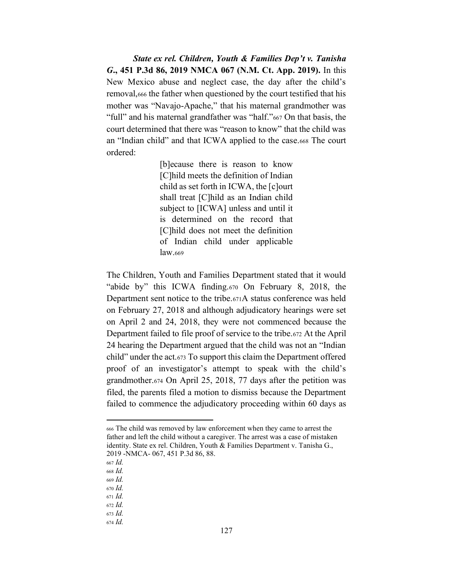*State ex rel. Children, Youth & Families Dep't v. Tanisha G***., 451 P.3d 86, 2019 NMCA 067 (N.M. Ct. App. 2019).** In this New Mexico abuse and neglect case, the day after the child's removal,666 the father when questioned by the court testified that his mother was "Navajo-Apache," that his maternal grandmother was "full" and his maternal grandfather was "half."<sup>667</sup> On that basis, the court determined that there was "reason to know" that the child was an "Indian child" and that ICWA applied to the case.668 The court ordered:

> [b]ecause there is reason to know [C]hild meets the definition of Indian child as set forth in ICWA, the [c]ourt shall treat [C]hild as an Indian child subject to [ICWA] unless and until it is determined on the record that [C]hild does not meet the definition of Indian child under applicable law.669

The Children, Youth and Families Department stated that it would "abide by" this ICWA finding. $670$  On February 8, 2018, the Department sent notice to the tribe.671A status conference was held on February 27, 2018 and although adjudicatory hearings were set on April 2 and 24, 2018, they were not commenced because the Department failed to file proof of service to the tribe.672 At the April 24 hearing the Department argued that the child was not an "Indian child" under the act. $673$  To support this claim the Department offered proof of an investigator's attempt to speak with the child's grandmother.674 On April 25, 2018, 77 days after the petition was filed, the parents filed a motion to dismiss because the Department failed to commence the adjudicatory proceeding within 60 days as

<sup>666</sup> The child was removed by law enforcement when they came to arrest the father and left the child without a caregiver. The arrest was a case of mistaken identity. State ex rel. Children, Youth & Families Department v. Tanisha G., 2019 -NMCA- 067, 451 P.3d 86, 88.

<sup>667</sup> *Id.*

<sup>668</sup> *Id.*

<sup>669</sup> *Id.*

<sup>670</sup> *Id.*

<sup>671</sup> *Id.*

<sup>672</sup> *Id.*

<sup>673</sup> *Id.* <sup>674</sup> *Id.*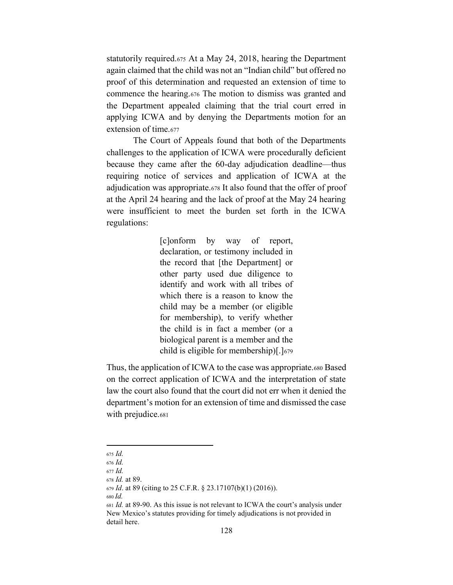statutorily required.675 At a May 24, 2018, hearing the Department again claimed that the child was not an "Indian child" but offered no proof of this determination and requested an extension of time to commence the hearing.676 The motion to dismiss was granted and the Department appealed claiming that the trial court erred in applying ICWA and by denying the Departments motion for an extension of time 677

The Court of Appeals found that both of the Departments challenges to the application of ICWA were procedurally deficient because they came after the 60-day adjudication deadline—thus requiring notice of services and application of ICWA at the adjudication was appropriate.678 It also found that the offer of proof at the April 24 hearing and the lack of proof at the May 24 hearing were insufficient to meet the burden set forth in the ICWA regulations:

> [c]onform  $\mathbf{b}$  v way of report. declaration, or testimony included in the record that [the Department] or other party used due diligence to identify and work with all tribes of which there is a reason to know the child may be a member (or eligible for membership), to verify whether the child is in fact a member (or a biological parent is a member and the child is eligible for membership)[.]679

Thus, the application of ICWA to the case was appropriate.680 Based on the correct application of ICWA and the interpretation of state law the court also found that the court did not err when it denied the department's motion for an extension of time and dismissed the case with prejudice.681

<sup>675</sup> Id.

 $676$  Id.

 $677$  *Id.* 

<sup>678</sup> Id. at 89.

<sup>679</sup> *Id.* at 89 (citing to 25 C.F.R. § 23.17107(b)(1) (2016)).

 $680$  Id.

<sup>681</sup> *Id.* at 89-90. As this issue is not relevant to ICWA the court's analysis under New Mexico's statutes providing for timely adjudications is not provided in detail here.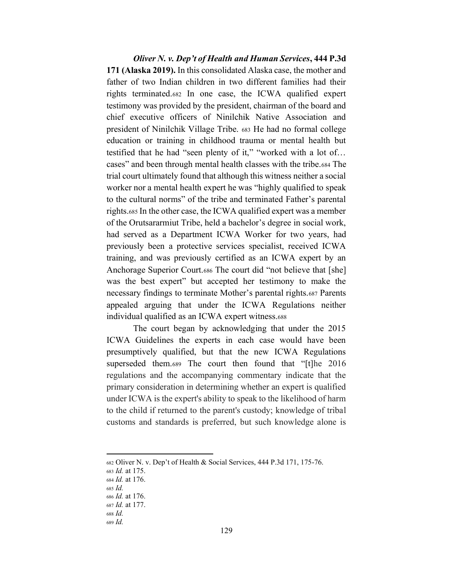Oliver N. v. Dep't of Health and Human Services, 444 P.3d 171 (Alaska 2019). In this consolidated Alaska case, the mother and father of two Indian children in two different families had their rights terminated.682 In one case, the ICWA qualified expert testimony was provided by the president, chairman of the board and chief executive officers of Ninilchik Native Association and president of Ninilchik Village Tribe. 683 He had no formal college education or training in childhood trauma or mental health but testified that he had "seen plenty of it," "worked with a lot of... cases" and been through mental health classes with the tribe.684 The trial court ultimately found that although this witness neither a social worker nor a mental health expert he was "highly qualified to speak to the cultural norms" of the tribe and terminated Father's parental rights.685 In the other case, the ICWA qualified expert was a member of the Orutsararmiut Tribe, held a bachelor's degree in social work, had served as a Department ICWA Worker for two years, had previously been a protective services specialist, received ICWA training, and was previously certified as an ICWA expert by an Anchorage Superior Court.686 The court did "not believe that [she] was the best expert" but accepted her testimony to make the necessary findings to terminate Mother's parental rights.687 Parents appealed arguing that under the ICWA Regulations neither individual qualified as an ICWA expert witness.688

The court began by acknowledging that under the 2015 ICWA Guidelines the experts in each case would have been presumptively qualified, but that the new ICWA Regulations superseded them.689 The court then found that "[t]he 2016 regulations and the accompanying commentary indicate that the primary consideration in determining whether an expert is qualified under ICWA is the expert's ability to speak to the likelihood of harm to the child if returned to the parent's custody; knowledge of tribal customs and standards is preferred, but such knowledge alone is

<sup>682</sup> Oliver N. v. Dep't of Health & Social Services, 444 P.3d 171, 175-76.

<sup>683</sup> Id. at 175.

<sup>684</sup> Id. at 176.

<sup>685</sup> Id.

<sup>686</sup> Id. at 176.

<sup>687</sup> *Id.* at 177.  $688$  Id.

 $689$  Id.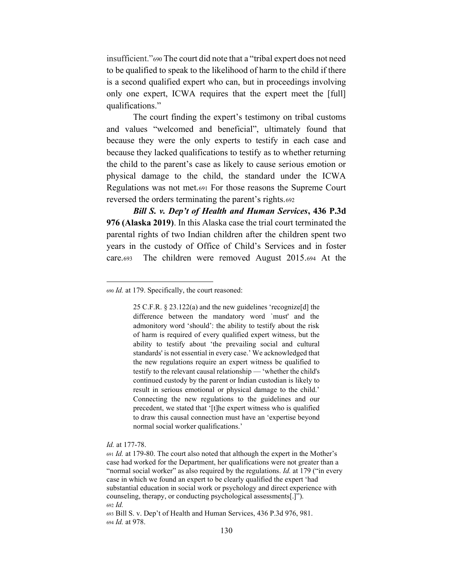insufficient."690 The court did note that a "tribal expert does not need to be qualified to speak to the likelihood of harm to the child if there is a second qualified expert who can, but in proceedings involving only one expert, ICWA requires that the expert meet the [full] qualifications."

The court finding the expert's testimony on tribal customs and values "welcomed and beneficial", ultimately found that because they were the only experts to testify in each case and because they lacked qualifications to testify as to whether returning the child to the parent's case as likely to cause serious emotion or physical damage to the child, the standard under the ICWA Regulations was not met.691 For those reasons the Supreme Court reversed the orders terminating the parent's rights.692

Bill S. v. Dep't of Health and Human Services, 436 P.3d 976 (Alaska 2019). In this Alaska case the trial court terminated the parental rights of two Indian children after the children spent two years in the custody of Office of Child's Services and in foster The children were removed August 2015.694 At the care.693

25 C.F.R.  $\S$  23.122(a) and the new guidelines 'recognize[d] the difference between the mandatory word 'must' and the admonitory word 'should': the ability to testify about the risk of harm is required of every qualified expert witness, but the ability to testify about 'the prevailing social and cultural standards' is not essential in every case.' We acknowledged that the new regulations require an expert witness be qualified to testify to the relevant causal relationship — 'whether the child's continued custody by the parent or Indian custodian is likely to result in serious emotional or physical damage to the child.' Connecting the new regulations to the guidelines and our precedent, we stated that '[t]he expert witness who is qualified to draw this causal connection must have an 'expertise beyond normal social worker qualifications.'

Id. at 177-78.

<sup>690</sup> *Id.* at 179. Specifically, the court reasoned:

<sup>691</sup> *Id.* at 179-80. The court also noted that although the expert in the Mother's case had worked for the Department, her qualifications were not greater than a "normal social worker" as also required by the regulations. Id. at 179 ("in every case in which we found an expert to be clearly qualified the expert 'had substantial education in social work or psychology and direct experience with counseling, therapy, or conducting psychological assessments[.]").  $692$  Id.

<sup>693</sup> Bill S. v. Dep't of Health and Human Services, 436 P.3d 976, 981. 694 *Id.* at 978.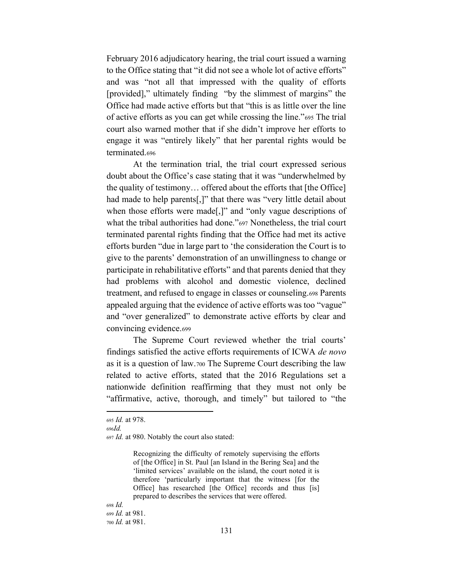February 2016 adjudicatory hearing, the trial court issued a warning to the Office stating that "it did not see a whole lot of active efforts" and was "not all that impressed with the quality of efforts [provided]," ultimately finding "by the slimmest of margins" the Office had made active efforts but that "this is as little over the line of active efforts as you can get while crossing the line."<sup>695</sup> The trial court also warned mother that if she didn't improve her efforts to engage it was "entirely likely" that her parental rights would be terminated.696

At the termination trial, the trial court expressed serious doubt about the Office's case stating that it was "underwhelmed by the quality of testimony... offered about the efforts that [the Office] had made to help parents[,]" that there was "very little detail about when those efforts were made[,]" and "only vague descriptions of what the tribal authorities had done."697 Nonetheless, the trial court terminated parental rights finding that the Office had met its active efforts burden "due in large part to 'the consideration the Court is to give to the parents' demonstration of an unwillingness to change or participate in rehabilitative efforts" and that parents denied that they had problems with alcohol and domestic violence, declined treatment, and refused to engage in classes or counseling.698 Parents appealed arguing that the evidence of active efforts was too "vague" and "over generalized" to demonstrate active efforts by clear and convincing evidence.699

The Supreme Court reviewed whether the trial courts' findings satisfied the active efforts requirements of ICWA de novo as it is a question of law.700 The Supreme Court describing the law related to active efforts, stated that the 2016 Regulations set a nationwide definition reaffirming that they must not only be "affirmative, active, thorough, and timely" but tailored to "the

 $696Id$ .

Recognizing the difficulty of remotely supervising the efforts of [the Office] in St. Paul [an Island in the Bering Sea] and the 'limited services' available on the island, the court noted it is therefore 'particularly important that the witness [for the Office] has researched [the Office] records and thus [is] prepared to describes the services that were offered.

<sup>695</sup> *Id.* at 978.

<sup>697</sup> Id. at 980. Notably the court also stated: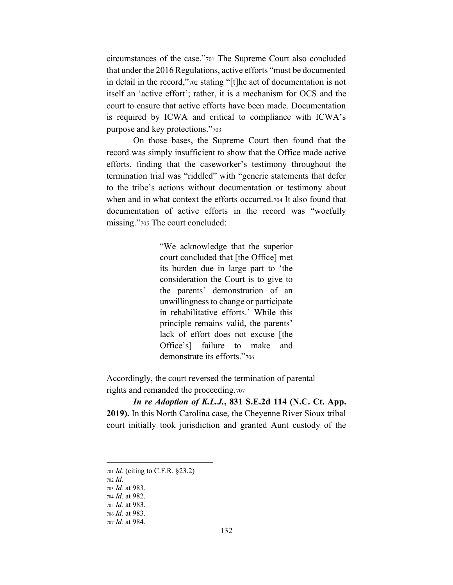circumstances of the case."701 The Supreme Court also concluded that under the 2016 Regulations, active efforts "must be documented" in detail in the record,"702 stating "[t] he act of documentation is not itself an 'active effort'; rather, it is a mechanism for OCS and the court to ensure that active efforts have been made. Documentation is required by ICWA and critical to compliance with ICWA's purpose and key protections."703

On those bases, the Supreme Court then found that the record was simply insufficient to show that the Office made active efforts, finding that the caseworker's testimony throughout the termination trial was "riddled" with "generic statements that defer to the tribe's actions without documentation or testimony about when and in what context the efforts occurred.704 It also found that documentation of active efforts in the record was "woefully missing."705 The court concluded:

> "We acknowledge that the superior" court concluded that [the Office] met its burden due in large part to 'the consideration the Court is to give to the parents' demonstration of an unwillingness to change or participate in rehabilitative efforts.' While this principle remains valid, the parents' lack of effort does not excuse [the Office's] failure to make and demonstrate its efforts."706

Accordingly, the court reversed the termination of parental rights and remanded the proceeding.707

In re Adoption of K.L.J., 831 S.E.2d 114 (N.C. Ct. App. 2019). In this North Carolina case, the Cheyenne River Sioux tribal court initially took jurisdiction and granted Aunt custody of the

<sup>701</sup> *Id.* (citing to C.F.R. §23.2)

 $702$  *Id.* 

<sup>703</sup> *Id.* at 983.

<sup>704</sup> Id. at 982.

<sup>705</sup> Id. at 983.

<sup>706</sup> *Id.* at 983.

<sup>707</sup> Id. at 984.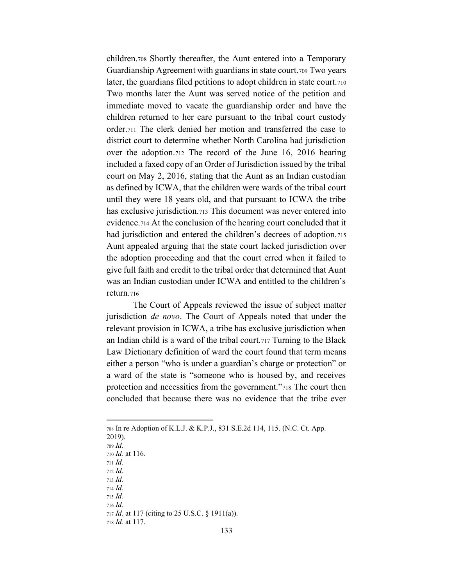children.708 Shortly thereafter, the Aunt entered into a Temporary Guardianship Agreement with guardians in state court.709 Two years later, the guardians filed petitions to adopt children in state court.710 Two months later the Aunt was served notice of the petition and immediate moved to vacate the guardianship order and have the children returned to her care pursuant to the tribal court custody order.711 The clerk denied her motion and transferred the case to district court to determine whether North Carolina had jurisdiction over the adoption.712 The record of the June 16, 2016 hearing included a faxed copy of an Order of Jurisdiction issued by the tribal court on May 2, 2016, stating that the Aunt as an Indian custodian as defined by ICWA, that the children were wards of the tribal court until they were 18 years old, and that pursuant to ICWA the tribe has exclusive jurisdiction.<sup>713</sup> This document was never entered into evidence.714 At the conclusion of the hearing court concluded that it had jurisdiction and entered the children's decrees of adoption.715 Aunt appealed arguing that the state court lacked jurisdiction over the adoption proceeding and that the court erred when it failed to give full faith and credit to the tribal order that determined that Aunt was an Indian custodian under ICWA and entitled to the children's return.716

The Court of Appeals reviewed the issue of subject matter jurisdiction *de novo*. The Court of Appeals noted that under the relevant provision in ICWA, a tribe has exclusive jurisdiction when an Indian child is a ward of the tribal court.717 Turning to the Black Law Dictionary definition of ward the court found that term means either a person "who is under a guardian's charge or protection" or a ward of the state is "someone who is housed by, and receives protection and necessities from the government.<sup>"718</sup> The court then concluded that because there was no evidence that the tribe ever

2019). <sup>709</sup> *Id.*

- <sup>715</sup> *Id.*
- <sup>716</sup> *Id.*

<sup>708</sup> In re Adoption of K.L.J. & K.P.J., 831 S.E.2d 114, 115. (N.C. Ct. App.

<sup>710</sup> *Id.* at 116.

<sup>711</sup> *Id.*

<sup>712</sup> *Id.*

<sup>713</sup> *Id.*

<sup>714</sup> *Id.*

<sup>717</sup> *Id.* at 117 (citing to 25 U.S.C. § 1911(a)).

<sup>718</sup> *Id.* at 117.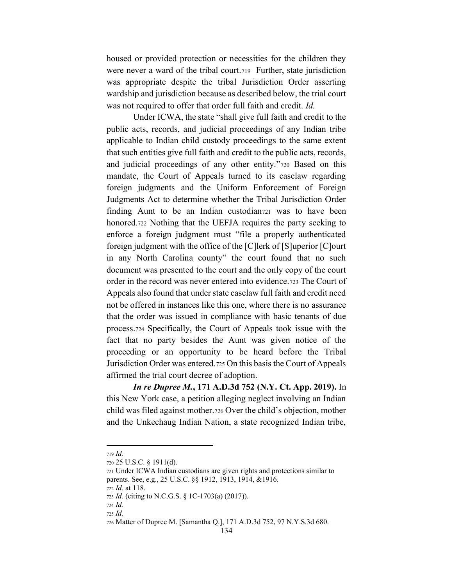housed or provided protection or necessities for the children they were never a ward of the tribal court.<sup>719</sup> Further, state jurisdiction was appropriate despite the tribal Jurisdiction Order asserting wardship and jurisdiction because as described below, the trial court was not required to offer that order full faith and credit. *Id.*

Under ICWA, the state "shall give full faith and credit to the public acts, records, and judicial proceedings of any Indian tribe applicable to Indian child custody proceedings to the same extent that such entities give full faith and credit to the public acts, records, and judicial proceedings of any other entity.<sup>"720</sup> Based on this mandate, the Court of Appeals turned to its caselaw regarding foreign judgments and the Uniform Enforcement of Foreign Judgments Act to determine whether the Tribal Jurisdiction Order finding Aunt to be an Indian custodian<sub>721</sub> was to have been honored.722 Nothing that the UEFJA requires the party seeking to enforce a foreign judgment must "file a properly authenticated foreign judgment with the office of the [C]lerk of [S]uperior [C]ourt in any North Carolina county" the court found that no such document was presented to the court and the only copy of the court order in the record was never entered into evidence.723 The Court of Appeals also found that under state caselaw full faith and credit need not be offered in instances like this one, where there is no assurance that the order was issued in compliance with basic tenants of due process.724 Specifically, the Court of Appeals took issue with the fact that no party besides the Aunt was given notice of the proceeding or an opportunity to be heard before the Tribal Jurisdiction Order was entered.725 On this basis the Court of Appeals affirmed the trial court decree of adoption.

*In re Dupree M.***, 171 A.D.3d 752 (N.Y. Ct. App. 2019).** In this New York case, a petition alleging neglect involving an Indian child was filed against mother.726 Over the child's objection, mother and the Unkechaug Indian Nation, a state recognized Indian tribe,

<sup>719</sup> *Id.*

<sup>720</sup> 25 U.S.C. § 1911(d).

<sup>721</sup> Under ICWA Indian custodians are given rights and protections similar to parents. See, e.g., 25 U.S.C. §§ 1912, 1913, 1914, &1916.

<sup>722</sup> *Id.* at 118.

<sup>723</sup> *Id.* (citing to N.C.G.S. § 1C-1703(a) (2017)).

<sup>724</sup> *Id.*

<sup>725</sup> *Id.*

<sup>726</sup> Matter of Dupree M. [Samantha Q.], 171 A.D.3d 752, 97 N.Y.S.3d 680.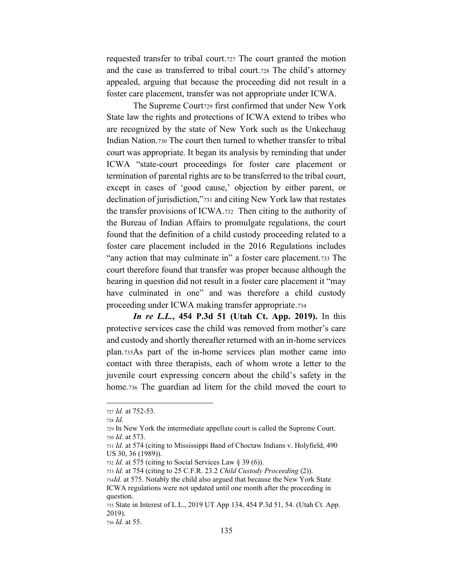requested transfer to tribal court.727 The court granted the motion and the case as transferred to tribal court.728 The child's attorney appealed, arguing that because the proceeding did not result in a foster care placement, transfer was not appropriate under ICWA.

The Supreme Court729 first confirmed that under New York State law the rights and protections of ICWA extend to tribes who are recognized by the state of New York such as the Unkechaug Indian Nation.730 The court then turned to whether transfer to tribal court was appropriate. It began its analysis by reminding that under ICWA "state-court proceedings for foster care placement or termination of parental rights are to be transferred to the tribal court, except in cases of 'good cause,' objection by either parent, or declination of jurisdiction,"731 and citing New York law that restates the transfer provisions of ICWA.732 Then citing to the authority of the Bureau of Indian Affairs to promulgate regulations, the court found that the definition of a child custody proceeding related to a foster care placement included in the 2016 Regulations includes "any action that may culminate in" a foster care placement.733 The court therefore found that transfer was proper because although the hearing in question did not result in a foster care placement it "may" have culminated in one" and was therefore a child custody proceeding under ICWA making transfer appropriate.734

*In re L.L.***, 454 P.3d 51 (Utah Ct. App. 2019).** In this protective services case the child was removed from mother's care and custody and shortly thereafter returned with an in-home services plan.735As part of the in-home services plan mother came into contact with three therapists, each of whom wrote a letter to the juvenile court expressing concern about the child's safety in the home.736 The guardian ad litem for the child moved the court to

<sup>727</sup> *Id.* at 752-53.

<sup>728</sup> *Id.*

<sup>729</sup> In New York the intermediate appellate court is called the Supreme Court. <sup>730</sup> *Id.* at 573.

<sup>731</sup> *Id.* at 574 (citing to Mississippi Band of Choctaw Indians v. Holyfield, 490 US 30, 36 (1989)).

<sup>732</sup> *Id.* at 575 (citing to Social Services Law § 39 (6)).

<sup>733</sup> *Id.* at 754 (citing to 25 C.F.R. 23.2 *Child Custody Proceeding* (2)).

<sup>734</sup>*Id.* at 575. Notably the child also argued that because the New York State ICWA regulations were not updated until one month after the proceeding in question.

<sup>735</sup> State in Interest of L.L., 2019 UT App 134, 454 P.3d 51, 54. (Utah Ct. App. 2019).

<sup>736</sup> *Id.* at 55.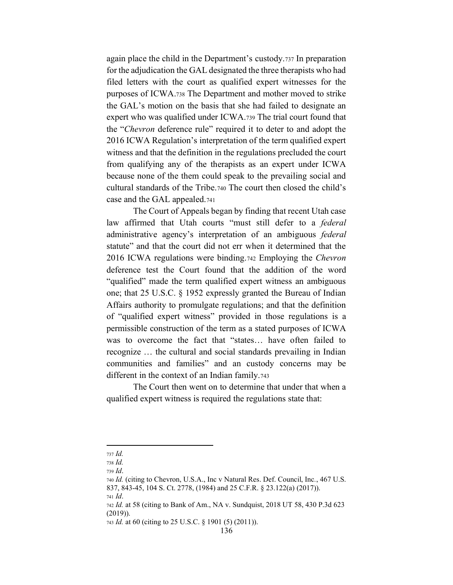again place the child in the Department's custody.737 In preparation for the adjudication the GAL designated the three therapists who had filed letters with the court as qualified expert witnesses for the purposes of ICWA.738 The Department and mother moved to strike the GAL's motion on the basis that she had failed to designate an expert who was qualified under ICWA.739 The trial court found that the "Chevron deference rule" required it to deter to and adopt the 2016 ICWA Regulation's interpretation of the term qualified expert witness and that the definition in the regulations precluded the court from qualifying any of the therapists as an expert under ICWA because none of the them could speak to the prevailing social and cultural standards of the Tribe.740 The court then closed the child's case and the GAL appealed.741

The Court of Appeals began by finding that recent Utah case law affirmed that Utah courts "must still defer to a federal administrative agency's interpretation of an ambiguous federal statute" and that the court did not err when it determined that the 2016 ICWA regulations were binding 742 Employing the Chevron deference test the Court found that the addition of the word "qualified" made the term qualified expert witness an ambiguous one; that 25 U.S.C. § 1952 expressly granted the Bureau of Indian Affairs authority to promulgate regulations; and that the definition of "qualified expert witness" provided in those regulations is a permissible construction of the term as a stated purposes of ICWA was to overcome the fact that "states... have often failed to recognize ... the cultural and social standards prevailing in Indian communities and families" and an custody concerns may be different in the context of an Indian family.743

The Court then went on to determine that under that when a qualified expert witness is required the regulations state that:

<sup>737</sup> Id.

<sup>738</sup> Id.

 $739$  *Id.* 

<sup>740</sup> Id. (citing to Chevron, U.S.A., Inc v Natural Res. Def. Council, Inc., 467 U.S. 837, 843-45, 104 S. Ct. 2778, (1984) and 25 C.F.R. § 23.122(a) (2017)).

 $741$   $Id.$ 

<sup>742</sup> Id. at 58 (citing to Bank of Am., NA v. Sundquist, 2018 UT 58, 430 P.3d 623  $(2019)$ ).

<sup>743</sup> *Id.* at 60 (citing to 25 U.S.C. § 1901 (5) (2011)).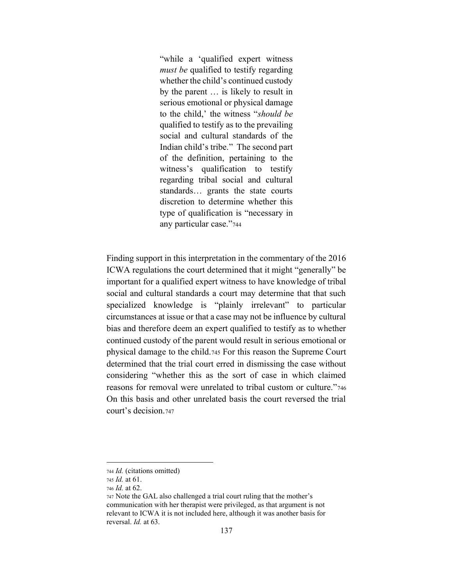"while a 'qualified expert witness *must be* qualified to testify regarding whether the child's continued custody by the parent ... is likely to result in serious emotional or physical damage to the child,' the witness "should be qualified to testify as to the prevailing social and cultural standards of the Indian child's tribe." The second part of the definition, pertaining to the witness's qualification to testify regarding tribal social and cultural standards... grants the state courts discretion to determine whether this type of qualification is "necessary in any particular case."744

Finding support in this interpretation in the commentary of the 2016 ICWA regulations the court determined that it might "generally" be important for a qualified expert witness to have knowledge of tribal social and cultural standards a court may determine that that such specialized knowledge is "plainly irrelevant" to particular circumstances at issue or that a case may not be influence by cultural bias and therefore deem an expert qualified to testify as to whether continued custody of the parent would result in serious emotional or physical damage to the child.745 For this reason the Supreme Court determined that the trial court erred in dismissing the case without considering "whether this as the sort of case in which claimed reasons for removal were unrelated to tribal custom or culture."746 On this basis and other unrelated basis the court reversed the trial court's decision.747

<sup>744</sup> Id. (citations omitted)

<sup>745</sup> *Id.* at 61.

<sup>746</sup> *Id.* at 62.

<sup>747</sup> Note the GAL also challenged a trial court ruling that the mother's communication with her therapist were privileged, as that argument is not relevant to ICWA it is not included here, although it was another basis for reversal. *Id.* at 63.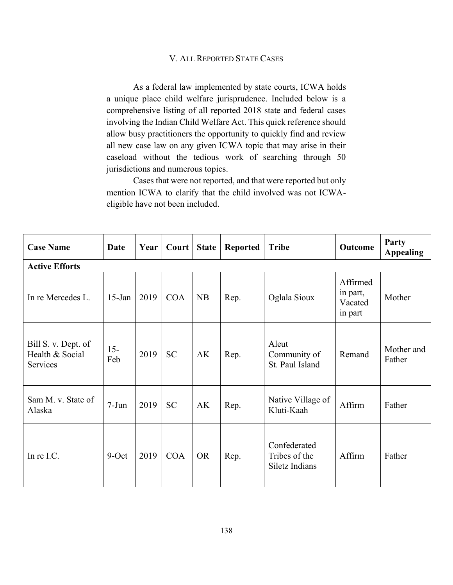## V. ALL REPORTED STATE CASES

As a federal law implemented by state courts, ICWA holds a unique place child welfare jurisprudence. Included below is a comprehensive listing of all reported 2018 state and federal cases involving the Indian Child Welfare Act. This quick reference should allow busy practitioners the opportunity to quickly find and review all new case law on any given ICWA topic that may arise in their caseload without the tedious work of searching through 50 jurisdictions and numerous topics.

Cases that were not reported, and that were reported but only mention ICWA to clarify that the child involved was not ICWAeligible have not been included.

| <b>Case Name</b>                                   | Date          | Year | Court      | <b>State</b> | <b>Reported</b> | <b>Tribe</b>                                    | Outcome                                    | Party<br><b>Appealing</b> |  |  |  |  |
|----------------------------------------------------|---------------|------|------------|--------------|-----------------|-------------------------------------------------|--------------------------------------------|---------------------------|--|--|--|--|
| <b>Active Efforts</b>                              |               |      |            |              |                 |                                                 |                                            |                           |  |  |  |  |
| In re Mercedes L.                                  | $15$ -Jan     | 2019 | <b>COA</b> | <b>NB</b>    | Rep.            | Oglala Sioux                                    | Affirmed<br>in part,<br>Vacated<br>in part | Mother                    |  |  |  |  |
| Bill S. v. Dept. of<br>Health & Social<br>Services | $15 -$<br>Feb | 2019 | <b>SC</b>  | AK           | Rep.            | Aleut<br>Community of<br>St. Paul Island        | Remand                                     | Mother and<br>Father      |  |  |  |  |
| Sam M. v. State of<br>Alaska                       | $7-Jun$       | 2019 | <b>SC</b>  | AK           | Rep.            | Native Village of<br>Kluti-Kaah                 | Affirm                                     | Father                    |  |  |  |  |
| In re I.C.                                         | $9-Oct$       | 2019 | <b>COA</b> | <b>OR</b>    | Rep.            | Confederated<br>Tribes of the<br>Siletz Indians | Affirm                                     | Father                    |  |  |  |  |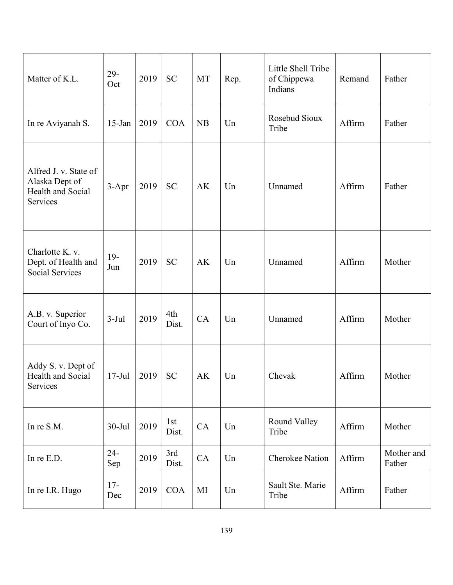| Matter of K.L.                                                                  | $29 -$<br>Oct | 2019 | <b>SC</b>    | <b>MT</b> | Rep. | Little Shell Tribe<br>of Chippewa<br>Indians | Remand | Father               |
|---------------------------------------------------------------------------------|---------------|------|--------------|-----------|------|----------------------------------------------|--------|----------------------|
| In re Aviyanah S.                                                               | $15$ -Jan     | 2019 | <b>COA</b>   | NB        | Un   | Rosebud Sioux<br>Tribe                       | Affirm | Father               |
| Alfred J. v. State of<br>Alaska Dept of<br>Health and Social<br><b>Services</b> | $3-Apr$       | 2019 | <b>SC</b>    | AK        | Un   | Unnamed                                      | Affirm | Father               |
| Charlotte K. v.<br>Dept. of Health and<br><b>Social Services</b>                | $19-$<br>Jun  | 2019 | <b>SC</b>    | AK        | Un   | Unnamed                                      | Affirm | Mother               |
| A.B. v. Superior<br>Court of Inyo Co.                                           | $3-Jul$       | 2019 | 4th<br>Dist. | CA        | Un   | Unnamed                                      | Affirm | Mother               |
| Addy S. v. Dept of<br>Health and Social<br>Services                             | $17-Jul$      | 2019 | <b>SC</b>    | AK        | Un   | Chevak                                       | Affirm | Mother               |
| In re S.M.                                                                      | $30 -$ Jul    | 2019 | 1st<br>Dist. | CA        | Un   | Round Valley<br>Tribe                        | Affirm | Mother               |
| In re E.D.                                                                      | $24 -$<br>Sep | 2019 | 3rd<br>Dist. | CA        | Un   | <b>Cherokee Nation</b>                       | Affirm | Mother and<br>Father |
| In re I.R. Hugo                                                                 | $17-$<br>Dec  | 2019 | <b>COA</b>   | MI        | Un   | Sault Ste. Marie<br>Tribe                    | Affirm | Father               |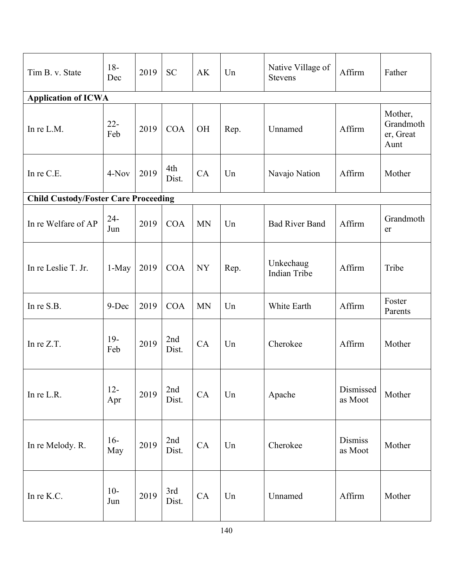| Tim B. v. State                             | $18-$<br>Dec  | 2019 | <b>SC</b>    | AK        | Un   | Native Village of<br>Stevens     | Affirm                    | Father                                    |
|---------------------------------------------|---------------|------|--------------|-----------|------|----------------------------------|---------------------------|-------------------------------------------|
| <b>Application of ICWA</b>                  |               |      |              |           |      |                                  |                           |                                           |
| In re L.M.                                  | $22 -$<br>Feb | 2019 | <b>COA</b>   | <b>OH</b> | Rep. | Unnamed                          | Affirm                    | Mother,<br>Grandmoth<br>er, Great<br>Aunt |
| In re C.E.                                  | 4-Nov         | 2019 | 4th<br>Dist. | CA        | Un   | Navajo Nation                    | Affirm                    | Mother                                    |
| <b>Child Custody/Foster Care Proceeding</b> |               |      |              |           |      |                                  |                           |                                           |
| In re Welfare of AP                         | $24-$<br>Jun  | 2019 | <b>COA</b>   | <b>MN</b> | Un   | <b>Bad River Band</b>            | Affirm                    | Grandmoth<br>er                           |
| In re Leslie T. Jr.                         | $1-May$       | 2019 | <b>COA</b>   | <b>NY</b> | Rep. | Unkechaug<br><b>Indian Tribe</b> | Affirm                    | Tribe                                     |
| In re S.B.                                  | 9-Dec         | 2019 | <b>COA</b>   | <b>MN</b> | Un   | White Earth                      | Affirm                    | Foster<br>Parents                         |
| In re Z.T.                                  | $19-$<br>Feb  | 2019 | 2nd<br>Dist. | CA        | Un   | Cherokee                         | Affirm                    | Mother                                    |
| In re L.R.                                  | $12 -$<br>Apr | 2019 | 2nd<br>Dist. | CA        | Un   | Apache                           | Dismissed<br>as Moot      | Mother                                    |
| In re Melody. R.                            | $16-$<br>May  | 2019 | 2nd<br>Dist. | CA        | Un   | Cherokee                         | <b>Dismiss</b><br>as Moot | Mother                                    |
| In re K.C.                                  | $10-$<br>Jun  | 2019 | 3rd<br>Dist. | CA        | Un   | Unnamed                          | Affirm                    | Mother                                    |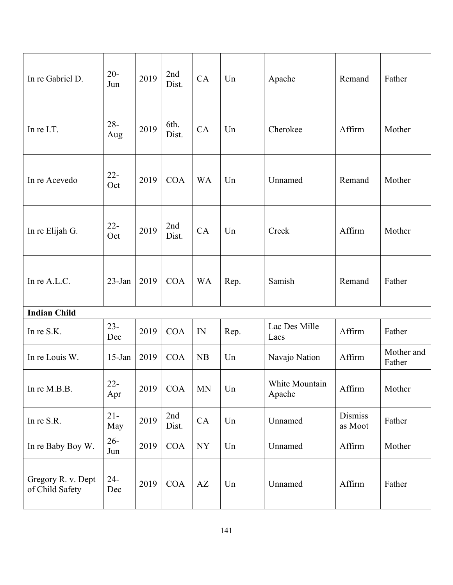| In re Gabriel D.                      | $20 -$<br>Jun | 2019 | 2nd<br>Dist.  | CA        | Un   | Apache                   | Remand                    | Father               |
|---------------------------------------|---------------|------|---------------|-----------|------|--------------------------|---------------------------|----------------------|
| In re I.T.                            | $28 -$<br>Aug | 2019 | 6th.<br>Dist. | CA        | Un   | Cherokee                 | Affirm                    | Mother               |
| In re Acevedo                         | $22 -$<br>Oct | 2019 | <b>COA</b>    | <b>WA</b> | Un   | Unnamed                  | Remand                    | Mother               |
| In re Elijah G.                       | $22 -$<br>Oct | 2019 | 2nd<br>Dist.  | CA        | Un   | Creek                    | Affirm                    | Mother               |
| In re A.L.C.                          | 23-Jan        | 2019 | <b>COA</b>    | <b>WA</b> | Rep. | Samish                   | Remand                    | Father               |
| <b>Indian Child</b>                   |               |      |               |           |      |                          |                           |                      |
| In re S.K.                            | $23 -$<br>Dec | 2019 | COA           | IN        | Rep. | Lac Des Mille<br>Lacs    | Affirm                    | Father               |
| In re Louis W.                        | $15$ -Jan     | 2019 | <b>COA</b>    | <b>NB</b> | Un   | Navajo Nation            | Affirm                    | Mother and<br>Father |
| In re M.B.B.                          | $22 -$<br>Apr | 2019 | COA           | <b>MN</b> | Un   | White Mountain<br>Apache | Affirm                    | Mother               |
| In re S.R.                            | $21 -$<br>May | 2019 | 2nd<br>Dist.  | CA        | Un   | Unnamed                  | <b>Dismiss</b><br>as Moot | Father               |
| In re Baby Boy W.                     | $26 -$<br>Jun | 2019 | <b>COA</b>    | NY        | Un   | Unnamed                  | Affirm                    | Mother               |
| Gregory R. v. Dept<br>of Child Safety | $24 -$<br>Dec | 2019 | COA           | AZ        | Un   | Unnamed                  | Affirm                    | Father               |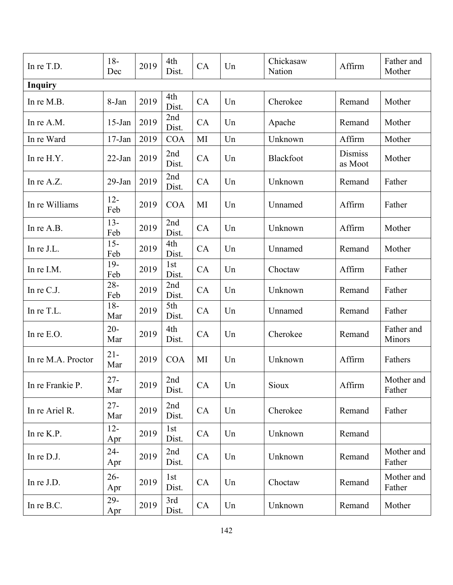| In re T.D.         | $18-$<br>Dec  | 2019 | 4th<br>Dist. | CA | Un | Chickasaw<br>Nation | Affirm                    | Father and<br>Mother |
|--------------------|---------------|------|--------------|----|----|---------------------|---------------------------|----------------------|
| <b>Inquiry</b>     |               |      |              |    |    |                     |                           |                      |
| In re M.B.         | 8-Jan         | 2019 | 4th<br>Dist. | CA | Un | Cherokee            | Remand                    | Mother               |
| In re A.M.         | $15$ -Jan     | 2019 | 2nd<br>Dist. | CA | Un | Apache              | Remand                    | Mother               |
| In re Ward         | $17-Jan$      | 2019 | <b>COA</b>   | MI | Un | Unknown             | Affirm                    | Mother               |
| In re H.Y.         | $22$ -Jan     | 2019 | 2nd<br>Dist. | CA | Un | <b>Blackfoot</b>    | <b>Dismiss</b><br>as Moot | Mother               |
| In re A.Z.         | 29-Jan        | 2019 | 2nd<br>Dist. | CA | Un | Unknown             | Remand                    | Father               |
| In re Williams     | $12 -$<br>Feb | 2019 | <b>COA</b>   | MI | Un | Unnamed             | Affirm                    | Father               |
| In re A.B.         | $13 -$<br>Feb | 2019 | 2nd<br>Dist. | CA | Un | Unknown             | Affirm                    | Mother               |
| In re J.L.         | $15 -$<br>Feb | 2019 | 4th<br>Dist. | CA | Un | Unnamed             | Remand                    | Mother               |
| In re I.M.         | $19-$<br>Feb  | 2019 | 1st<br>Dist. | CA | Un | Choctaw             | Affirm                    | Father               |
| In re C.J.         | $28 -$<br>Feb | 2019 | 2nd<br>Dist. | CA | Un | Unknown             | Remand                    | Father               |
| In re T.L.         | $18-$<br>Mar  | 2019 | 5th<br>Dist. | CA | Un | Unnamed             | Remand                    | Father               |
| In re E.O.         | $20 -$<br>Mar | 2019 | 4th<br>Dist. | CA | Un | Cherokee            | Remand                    | Father and<br>Minors |
| In re M.A. Proctor | $21 -$<br>Mar | 2019 | <b>COA</b>   | MI | Un | Unknown             | Affirm                    | Fathers              |
| In re Frankie P.   | $27 -$<br>Mar | 2019 | 2nd<br>Dist. | CA | Un | Sioux               | Affirm                    | Mother and<br>Father |
| In re Ariel R.     | $27 -$<br>Mar | 2019 | 2nd<br>Dist. | CA | Un | Cherokee            | Remand                    | Father               |
| In re K.P.         | $12 -$<br>Apr | 2019 | 1st<br>Dist. | CA | Un | Unknown             | Remand                    |                      |
| In re D.J.         | $24 -$<br>Apr | 2019 | 2nd<br>Dist. | CA | Un | Unknown             | Remand                    | Mother and<br>Father |
| In re J.D.         | $26 -$<br>Apr | 2019 | 1st<br>Dist. | CA | Un | Choctaw             | Remand                    | Mother and<br>Father |
| In re B.C.         | $29 -$<br>Apr | 2019 | 3rd<br>Dist. | CA | Un | Unknown             | Remand                    | Mother               |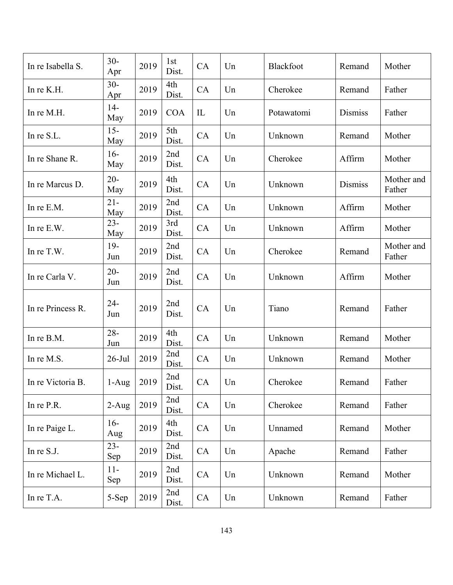| In re Isabella S. | $30 -$<br>Apr | 2019 | 1st<br>Dist. | CA        | Un | Blackfoot  | Remand         | Mother               |
|-------------------|---------------|------|--------------|-----------|----|------------|----------------|----------------------|
| In re K.H.        | $30 -$<br>Apr | 2019 | 4th<br>Dist. | <b>CA</b> | Un | Cherokee   | Remand         | Father               |
| In re M.H.        | $14-$<br>May  | 2019 | <b>COA</b>   | IL        | Un | Potawatomi | <b>Dismiss</b> | Father               |
| In re S.L.        | $15 -$<br>May | 2019 | 5th<br>Dist. | CA        | Un | Unknown    | Remand         | Mother               |
| In re Shane R.    | $16-$<br>May  | 2019 | 2nd<br>Dist. | CA        | Un | Cherokee   | Affirm         | Mother               |
| In re Marcus D.   | $20 -$<br>May | 2019 | 4th<br>Dist. | CA        | Un | Unknown    | <b>Dismiss</b> | Mother and<br>Father |
| In re E.M.        | $21 -$<br>May | 2019 | 2nd<br>Dist. | CA        | Un | Unknown    | Affirm         | Mother               |
| In re E.W.        | $23 -$<br>May | 2019 | 3rd<br>Dist. | CA        | Un | Unknown    | Affirm         | Mother               |
| In re T.W.        | $19-$<br>Jun  | 2019 | 2nd<br>Dist. | CA        | Un | Cherokee   | Remand         | Mother and<br>Father |
| In re Carla V.    | $20 -$<br>Jun | 2019 | 2nd<br>Dist. | CA        | Un | Unknown    | Affirm         | Mother               |
| In re Princess R. | $24 -$<br>Jun | 2019 | 2nd<br>Dist. | CA        | Un | Tiano      | Remand         | Father               |
| In re B.M.        | $28 -$<br>Jun | 2019 | 4th<br>Dist. | CA        | Un | Unknown    | Remand         | Mother               |
| In re M.S.        | $26$ -Jul     | 2019 | 2nd<br>Dist. | CA        | Un | Unknown    | Remand         | Mother               |
| In re Victoria B. | $1-Aug$       | 2019 | 2nd<br>Dist. | CA        | Un | Cherokee   | Remand         | Father               |
| In re P.R.        | $2-Aug$       | 2019 | 2nd<br>Dist. | CA        | Un | Cherokee   | Remand         | Father               |
| In re Paige L.    | $16-$<br>Aug  | 2019 | 4th<br>Dist. | CA        | Un | Unnamed    | Remand         | Mother               |
| In re S.J.        | $23 -$<br>Sep | 2019 | 2nd<br>Dist. | CA        | Un | Apache     | Remand         | Father               |
| In re Michael L.  | $11-$<br>Sep  | 2019 | 2nd<br>Dist. | CA        | Un | Unknown    | Remand         | Mother               |
| In re T.A.        | 5-Sep         | 2019 | 2nd<br>Dist. | CA        | Un | Unknown    | Remand         | Father               |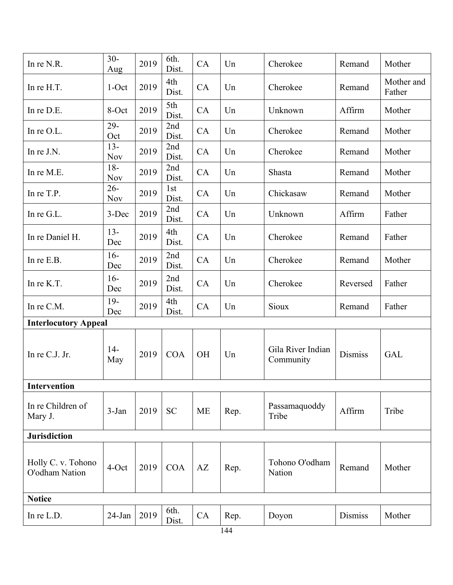| In re N.R.                           | $30 -$<br>Aug        | 2019 | 6th.<br>Dist. | CA        | Un   | Cherokee                       | Remand         | Mother               |
|--------------------------------------|----------------------|------|---------------|-----------|------|--------------------------------|----------------|----------------------|
| In re H.T.                           | $1$ -Oct             | 2019 | 4th<br>Dist.  | CA        | Un   | Cherokee                       | Remand         | Mother and<br>Father |
| In re D.E.                           | 8-Oct                | 2019 | 5th<br>Dist.  | CA        | Un   | Unknown                        | Affirm         | Mother               |
| In $re$ O.L.                         | $29 -$<br>Oct        | 2019 | 2nd<br>Dist.  | CA        | Un   | Cherokee                       | Remand         | Mother               |
| In re J.N.                           | $13 -$<br><b>Nov</b> | 2019 | 2nd<br>Dist.  | CA        | Un   | Cherokee                       | Remand         | Mother               |
| In re M.E.                           | $18-$<br><b>Nov</b>  | 2019 | 2nd<br>Dist.  | CA        | Un   | Shasta                         | Remand         | Mother               |
| In re T.P.                           | $26 -$<br><b>Nov</b> | 2019 | 1st<br>Dist.  | CA        | Un   | Chickasaw                      | Remand         | Mother               |
| In re G.L.                           | 3-Dec                | 2019 | 2nd<br>Dist.  | CA        | Un   | Unknown                        | Affirm         | Father               |
| In re Daniel H.                      | $13 -$<br>Dec        | 2019 | 4th<br>Dist.  | CA        | Un   | Cherokee                       | Remand         | Father               |
| In re E.B.                           | $16-$<br>Dec         | 2019 | 2nd<br>Dist.  | CA        | Un   | Cherokee                       | Remand         | Mother               |
| In re K.T.                           | $16-$<br>Dec         | 2019 | 2nd<br>Dist.  | CA        | Un   | Cherokee                       | Reversed       | Father               |
| In re C.M.                           | $19-$<br>Dec         | 2019 | 4th<br>Dist.  | CA        | Un   | Sioux                          | Remand         | Father               |
| <b>Interlocutory Appeal</b>          |                      |      |               |           |      |                                |                |                      |
| In re C.J. Jr.                       | $14-$<br>May         | 2019 | <b>COA</b>    | <b>OH</b> | Un   | Gila River Indian<br>Community | <b>Dismiss</b> | <b>GAL</b>           |
| <b>Intervention</b>                  |                      |      |               |           |      |                                |                |                      |
| In re Children of<br>Mary J.         | 3-Jan                | 2019 | <b>SC</b>     | <b>ME</b> | Rep. | Passamaquoddy<br>Tribe         | Affirm         | Tribe                |
| <b>Jurisdiction</b>                  |                      |      |               |           |      |                                |                |                      |
| Holly C. v. Tohono<br>O'odham Nation | 4-Oct                | 2019 | <b>COA</b>    | AZ        | Rep. | Tohono O'odham<br>Nation       | Remand         | Mother               |
| <b>Notice</b>                        |                      |      |               |           |      |                                |                |                      |
| In re L.D.                           | $24$ -Jan            | 2019 | 6th.<br>Dist. | CA        | Rep. | Doyon                          | <b>Dismiss</b> | Mother               |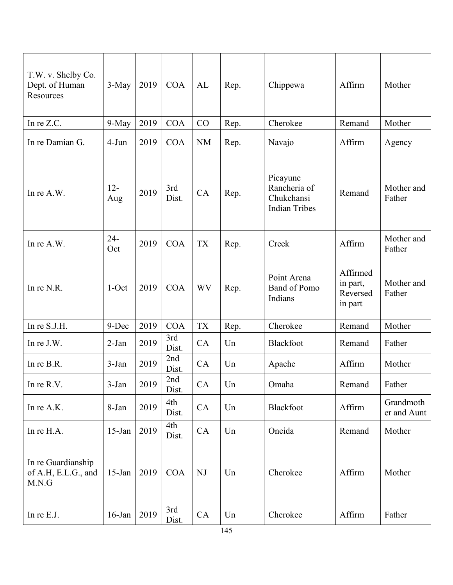| T.W. v. Shelby Co.<br>Dept. of Human<br>Resources  | 3-May         | 2019 | <b>COA</b>   | AL        | Rep. | Chippewa                                                       | Affirm                                      | Mother                   |
|----------------------------------------------------|---------------|------|--------------|-----------|------|----------------------------------------------------------------|---------------------------------------------|--------------------------|
| In re Z.C.                                         | 9-May         | 2019 | <b>COA</b>   | CO        | Rep. | Cherokee                                                       | Remand                                      | Mother                   |
| In re Damian G.                                    | 4-Jun         | 2019 | <b>COA</b>   | <b>NM</b> | Rep. | Navajo                                                         | Affirm                                      | Agency                   |
| In re A.W.                                         | $12 -$<br>Aug | 2019 | 3rd<br>Dist. | CA        | Rep. | Picayune<br>Rancheria of<br>Chukchansi<br><b>Indian Tribes</b> | Remand                                      | Mother and<br>Father     |
| In re A.W.                                         | $24 -$<br>Oct | 2019 | <b>COA</b>   | <b>TX</b> | Rep. | Creek                                                          | Affirm                                      | Mother and<br>Father     |
| In re N.R.                                         | $1$ -Oct      | 2019 | <b>COA</b>   | <b>WV</b> | Rep. | Point Arena<br>Band of Pomo<br>Indians                         | Affirmed<br>in part,<br>Reversed<br>in part | Mother and<br>Father     |
| In re S.J.H.                                       | 9-Dec         | 2019 | <b>COA</b>   | <b>TX</b> | Rep. | Cherokee                                                       | Remand                                      | Mother                   |
| In re J.W.                                         | $2-Jan$       | 2019 | 3rd<br>Dist. | CA        | Un   | Blackfoot                                                      | Remand                                      | Father                   |
| In re B.R.                                         | 3-Jan         | 2019 | 2nd<br>Dist. | CA        | Un   | Apache                                                         | Affirm                                      | Mother                   |
| In re R.V.                                         | $3-Jan$       | 2019 | 2nd<br>Dist. | CA        | Un   | Omaha                                                          | Remand                                      | Father                   |
| In re A.K.                                         | 8-Jan         | 2019 | 4th<br>Dist. | CA        | Un   | Blackfoot                                                      | Affirm                                      | Grandmoth<br>er and Aunt |
| In re H.A.                                         | $15$ -Jan     | 2019 | 4th<br>Dist. | CA        | Un   | Oneida                                                         | Remand                                      | Mother                   |
| In re Guardianship<br>of A.H, E.L.G., and<br>M.N.G | $15$ -Jan     | 2019 | <b>COA</b>   | NJ        | Un   | Cherokee                                                       | Affirm                                      | Mother                   |
| In re E.J.                                         | $16$ -Jan     | 2019 | 3rd<br>Dist. | CA        | Un   | Cherokee                                                       | Affirm                                      | Father                   |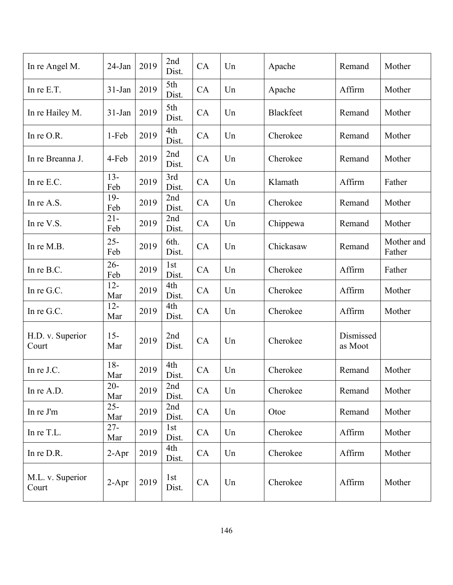| In re Angel M.            | $24$ -Jan     | 2019 | 2nd<br>Dist.  | CA | Un | Apache           | Remand               | Mother               |
|---------------------------|---------------|------|---------------|----|----|------------------|----------------------|----------------------|
| In re E.T.                | $31-Jan$      | 2019 | 5th<br>Dist.  | CA | Un | Apache           | Affirm               | Mother               |
| In re Hailey M.           | $31-Jan$      | 2019 | 5th<br>Dist.  | CA | Un | <b>Blackfeet</b> | Remand               | Mother               |
| In re O.R.                | 1-Feb         | 2019 | 4th<br>Dist.  | CA | Un | Cherokee         | Remand               | Mother               |
| In re Breanna J.          | 4-Feb         | 2019 | 2nd<br>Dist.  | CA | Un | Cherokee         | Remand               | Mother               |
| In re E.C.                | $13 -$<br>Feb | 2019 | 3rd<br>Dist.  | CA | Un | Klamath          | Affirm               | Father               |
| In re A.S.                | $19-$<br>Feb  | 2019 | 2nd<br>Dist.  | CA | Un | Cherokee         | Remand               | Mother               |
| In re V.S.                | $21 -$<br>Feb | 2019 | 2nd<br>Dist.  | CA | Un | Chippewa         | Remand               | Mother               |
| In re M.B.                | $25 -$<br>Feb | 2019 | 6th.<br>Dist. | CA | Un | Chickasaw        | Remand               | Mother and<br>Father |
| In re B.C.                | $26 -$<br>Feb | 2019 | 1st<br>Dist.  | CA | Un | Cherokee         | Affirm               | Father               |
| In re G.C.                | $12 -$<br>Mar | 2019 | 4th<br>Dist.  | CA | Un | Cherokee         | Affirm               | Mother               |
| In re G.C.                | $12 -$<br>Mar | 2019 | 4th<br>Dist.  | CA | Un | Cherokee         | Affirm               | Mother               |
| H.D. v. Superior<br>Court | $15-$<br>Mar  | 2019 | 2nd<br>Dist.  | CA | Un | Cherokee         | Dismissed<br>as Moot |                      |
| In re J.C.                | $18-$<br>Mar  | 2019 | 4th<br>Dist.  | CA | Un | Cherokee         | Remand               | Mother               |
| In re A.D.                | $20-$<br>Mar  | 2019 | 2nd<br>Dist.  | CA | Un | Cherokee         | Remand               | Mother               |
| In re J'm                 | $25 -$<br>Mar | 2019 | 2nd<br>Dist.  | CA | Un | Otoe             | Remand               | Mother               |
| In re T.L.                | $27 -$<br>Mar | 2019 | 1st<br>Dist.  | CA | Un | Cherokee         | Affirm               | Mother               |
| In re D.R.                | $2-Apr$       | 2019 | 4th<br>Dist.  | CA | Un | Cherokee         | Affirm               | Mother               |
| M.L. v. Superior<br>Court | $2-Apr$       | 2019 | 1st<br>Dist.  | CA | Un | Cherokee         | Affirm               | Mother               |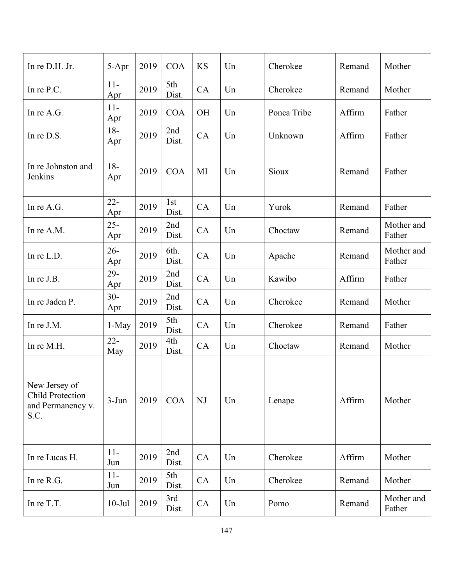| In re D.H. Jr.                                                        | 5-Apr         | 2019 | <b>COA</b>    | <b>KS</b> | Un | Cherokee    | Remand | Mother               |
|-----------------------------------------------------------------------|---------------|------|---------------|-----------|----|-------------|--------|----------------------|
| In re P.C.                                                            | $11-$<br>Apr  | 2019 | 5th<br>Dist.  | CA        | Un | Cherokee    | Remand | Mother               |
| In re A.G.                                                            | $11-$<br>Apr  | 2019 | <b>COA</b>    | <b>OH</b> | Un | Ponca Tribe | Affirm | Father               |
| In re D.S.                                                            | $18-$<br>Apr  | 2019 | 2nd<br>Dist.  | CA        | Un | Unknown     | Affirm | Father               |
| In re Johnston and<br>Jenkins                                         | $18-$<br>Apr  | 2019 | <b>COA</b>    | MI        | Un | Sioux       | Remand | Father               |
| In re A.G.                                                            | $22 -$<br>Apr | 2019 | 1st<br>Dist.  | CA        | Un | Yurok       | Remand | Father               |
| In re A.M.                                                            | $25 -$<br>Apr | 2019 | 2nd<br>Dist.  | CA        | Un | Choctaw     | Remand | Mother and<br>Father |
| In re L.D.                                                            | $26 -$<br>Apr | 2019 | 6th.<br>Dist. | CA        | Un | Apache      | Remand | Mother and<br>Father |
| In re J.B.                                                            | $29 -$<br>Apr | 2019 | 2nd<br>Dist.  | CA        | Un | Kawibo      | Affirm | Father               |
| In re Jaden P.                                                        | $30-$<br>Apr  | 2019 | 2nd<br>Dist.  | CA        | Un | Cherokee    | Remand | Mother               |
| In re J.M.                                                            | 1-May         | 2019 | 5th<br>Dist.  | CA        | Un | Cherokee    | Remand | Father               |
| In re M.H.                                                            | $22 -$<br>May | 2019 | 4th<br>Dist.  | CA        | Un | Choctaw     | Remand | Mother               |
| New Jersey of<br><b>Child Protection</b><br>and Permanency v.<br>S.C. | $3-Jun$       | 2019 | <b>COA</b>    | NJ        | Un | Lenape      | Affirm | Mother               |
| In re Lucas H.                                                        | $11-$<br>Jun  | 2019 | 2nd<br>Dist.  | CA        | Un | Cherokee    | Affirm | Mother               |
| In re R.G.                                                            | $11-$<br>Jun  | 2019 | 5th<br>Dist.  | CA        | Un | Cherokee    | Remand | Mother               |
| In re T.T.                                                            | $10-Jul$      | 2019 | 3rd<br>Dist.  | CA        | Un | Pomo        | Remand | Mother and<br>Father |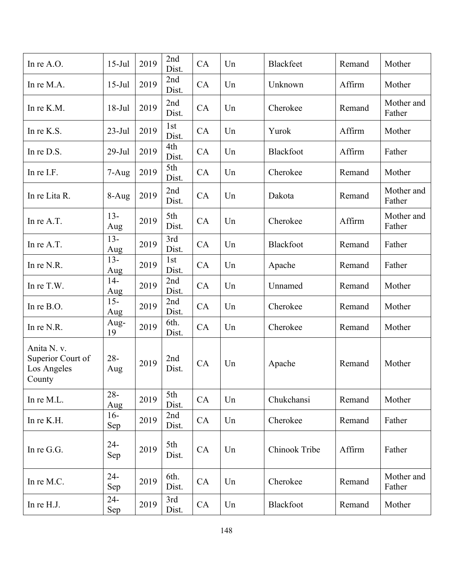| In re A.O.                                                | $15-Jul$      | 2019 | 2nd<br>Dist.             | CA | Un | Blackfeet        | Remand | Mother               |
|-----------------------------------------------------------|---------------|------|--------------------------|----|----|------------------|--------|----------------------|
| In re M.A.                                                | $15$ -Jul     | 2019 | 2nd<br>Dist.             | CA | Un | Unknown          | Affirm | Mother               |
| In re K.M.                                                | $18-Jul$      | 2019 | 2nd<br>Dist.             | CA | Un | Cherokee         | Remand | Mother and<br>Father |
| In re K.S.                                                | $23-Jul$      | 2019 | 1 <sub>st</sub><br>Dist. | CA | Un | Yurok            | Affirm | Mother               |
| In re D.S.                                                | $29$ -Jul     | 2019 | 4th<br>Dist.             | CA | Un | Blackfoot        | Affirm | Father               |
| In re I.F.                                                | $7 - Aug$     | 2019 | 5th<br>Dist.             | CA | Un | Cherokee         | Remand | Mother               |
| In re Lita R.                                             | $8-Aug$       | 2019 | 2nd<br>Dist.             | CA | Un | Dakota           | Remand | Mother and<br>Father |
| In re A.T.                                                | $13 -$<br>Aug | 2019 | 5th<br>Dist.             | CA | Un | Cherokee         | Affirm | Mother and<br>Father |
| In re A.T.                                                | $13 -$<br>Aug | 2019 | 3rd<br>Dist.             | CA | Un | <b>Blackfoot</b> | Remand | Father               |
| In re N.R.                                                | $13 -$<br>Aug | 2019 | 1st<br>Dist.             | CA | Un | Apache           | Remand | Father               |
| In re T.W.                                                | $14-$<br>Aug  | 2019 | 2nd<br>Dist.             | CA | Un | Unnamed          | Remand | Mother               |
| In re B.O.                                                | $15 -$<br>Aug | 2019 | 2nd<br>Dist.             | CA | Un | Cherokee         | Remand | Mother               |
| In re N.R.                                                | Aug-<br>19    | 2019 | 6th.<br>Dist.            | CA | Un | Cherokee         | Remand | Mother               |
| Anita N. v.<br>Superior Court of<br>Los Angeles<br>County | $28 -$<br>Aug | 2019 | 2nd<br>Dist.             | CA | Un | Apache           | Remand | Mother               |
| In re M.L.                                                | $28 -$<br>Aug | 2019 | 5th<br>Dist.             | CA | Un | Chukchansi       | Remand | Mother               |
| In re K.H.                                                | $16-$<br>Sep  | 2019 | 2nd<br>Dist.             | CA | Un | Cherokee         | Remand | Father               |
| In re G.G.                                                | $24 -$<br>Sep | 2019 | 5th<br>Dist.             | CA | Un | Chinook Tribe    | Affirm | Father               |
| In re M.C.                                                | $24 -$<br>Sep | 2019 | 6th.<br>Dist.            | CA | Un | Cherokee         | Remand | Mother and<br>Father |
| In re H.J.                                                | $24 -$<br>Sep | 2019 | 3rd<br>Dist.             | CA | Un | Blackfoot        | Remand | Mother               |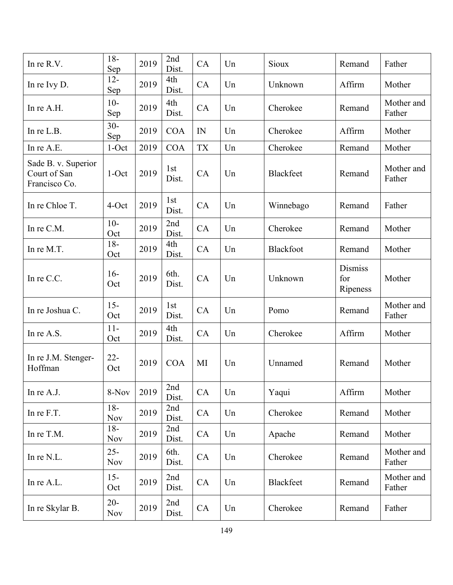| In re R.V.                                           | $18-$<br>Sep         | 2019 | 2nd<br>Dist.  | CA        | Un | Sioux            | Remand                            | Father               |
|------------------------------------------------------|----------------------|------|---------------|-----------|----|------------------|-----------------------------------|----------------------|
| In re Ivy D.                                         | $12 -$<br>Sep        | 2019 | 4th<br>Dist.  | CA        | Un | Unknown          | Affirm                            | Mother               |
| In re A.H.                                           | $10-$<br>Sep         | 2019 | 4th<br>Dist.  | CA        | Un | Cherokee         | Remand                            | Mother and<br>Father |
| In re L.B.                                           | $30 -$<br>Sep        | 2019 | <b>COA</b>    | IN        | Un | Cherokee         | Affirm                            | Mother               |
| In re A.E.                                           | $1$ -Oct             | 2019 | <b>COA</b>    | <b>TX</b> | Un | Cherokee         | Remand                            | Mother               |
| Sade B. v. Superior<br>Court of San<br>Francisco Co. | $1-Oct$              | 2019 | 1st<br>Dist.  | CA        | Un | <b>Blackfeet</b> | Remand                            | Mother and<br>Father |
| In re Chloe T.                                       | 4-Oct                | 2019 | 1st<br>Dist.  | CA        | Un | Winnebago        | Remand                            | Father               |
| In re C.M.                                           | $10-$<br>Oct         | 2019 | 2nd<br>Dist.  | CA        | Un | Cherokee         | Remand                            | Mother               |
| In re M.T.                                           | $18 -$<br>Oct        | 2019 | 4th<br>Dist.  | CA        | Un | <b>Blackfoot</b> | Remand                            | Mother               |
| In re C.C.                                           | $16-$<br>Oct         | 2019 | 6th.<br>Dist. | CA        | Un | Unknown          | <b>Dismiss</b><br>for<br>Ripeness | Mother               |
| In re Joshua C.                                      | $15 -$<br>Oct        | 2019 | 1st<br>Dist.  | CA        | Un | Pomo             | Remand                            | Mother and<br>Father |
| In re A.S.                                           | $11-$<br>Oct         | 2019 | 4th<br>Dist.  | CA        | Un | Cherokee         | Affirm                            | Mother               |
| In re J.M. Stenger-<br>Hoffman                       | $22 -$<br>Oct        | 2019 | <b>COA</b>    | MI        | Un | Unnamed          | Remand                            | Mother               |
| In re A.J.                                           | 8-Nov                | 2019 | 2nd<br>Dist.  | CA        | Un | Yaqui            | Affirm                            | Mother               |
| In re F.T.                                           | $18-$<br><b>Nov</b>  | 2019 | 2nd<br>Dist.  | CA        | Un | Cherokee         | Remand                            | Mother               |
| In re T.M.                                           | $18-$<br><b>Nov</b>  | 2019 | 2nd<br>Dist.  | CA        | Un | Apache           | Remand                            | Mother               |
| In re N.L.                                           | $25 -$<br><b>Nov</b> | 2019 | 6th.<br>Dist. | CA        | Un | Cherokee         | Remand                            | Mother and<br>Father |
| In re A.L.                                           | $15 -$<br>Oct        | 2019 | 2nd<br>Dist.  | CA        | Un | Blackfeet        | Remand                            | Mother and<br>Father |
| In re Skylar B.                                      | $20 -$<br><b>Nov</b> | 2019 | 2nd<br>Dist.  | CA        | Un | Cherokee         | Remand                            | Father               |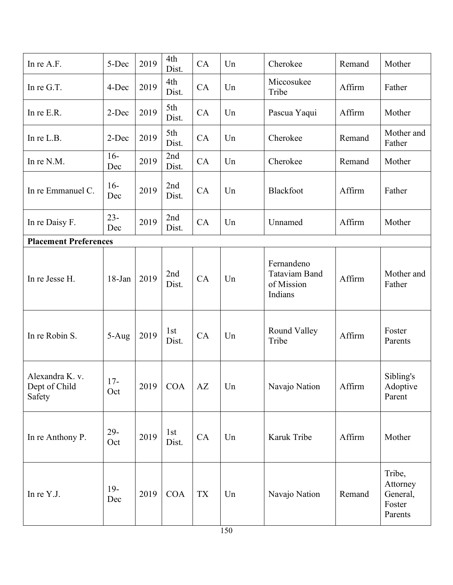| In re A.F.                                 | 5-Dec         | 2019 | 4th<br>Dist. | CA                     | Un | Cherokee                                                    | Remand | Mother                                              |
|--------------------------------------------|---------------|------|--------------|------------------------|----|-------------------------------------------------------------|--------|-----------------------------------------------------|
| In re G.T.                                 | 4-Dec         | 2019 | 4th<br>Dist. | CA                     | Un | Miccosukee<br>Tribe                                         | Affirm | Father                                              |
| In re E.R.                                 | 2-Dec         | 2019 | 5th<br>Dist. | CA                     | Un | Pascua Yaqui                                                | Affirm | Mother                                              |
| In re L.B.                                 | 2-Dec         | 2019 | 5th<br>Dist. | CA                     | Un | Cherokee                                                    | Remand | Mother and<br>Father                                |
| In re N.M.                                 | $16-$<br>Dec  | 2019 | 2nd<br>Dist. | CA                     | Un | Cherokee                                                    | Remand | Mother                                              |
| In re Emmanuel C.                          | $16-$<br>Dec  | 2019 | 2nd<br>Dist. | CA                     | Un | Blackfoot                                                   | Affirm | Father                                              |
| In re Daisy F.                             | $23 -$<br>Dec | 2019 | 2nd<br>Dist. | CA                     | Un | Unnamed                                                     | Affirm | Mother                                              |
| <b>Placement Preferences</b>               |               |      |              |                        |    |                                                             |        |                                                     |
| In re Jesse H.                             | 18-Jan        | 2019 | 2nd<br>Dist. | CA                     | Un | Fernandeno<br><b>Tataviam Band</b><br>of Mission<br>Indians | Affirm | Mother and<br>Father                                |
| In re Robin S.                             | 5-Aug         | 2019 | 1st<br>Dist. | CA                     | Un | Round Valley<br>Tribe                                       | Affirm | Foster<br>Parents                                   |
| Alexandra K. v.<br>Dept of Child<br>Safety | $17-$<br>Oct  | 2019 | <b>COA</b>   | $\mathbf{A}\mathbf{Z}$ | Un | Navajo Nation                                               | Affirm | Sibling's<br>Adoptive<br>Parent                     |
| In re Anthony P.                           | $29 -$<br>Oct | 2019 | 1st<br>Dist. | CA                     | Un | Karuk Tribe                                                 | Affirm | Mother                                              |
| In re Y.J.                                 | $19-$<br>Dec  | 2019 | <b>COA</b>   | TX                     | Un | Navajo Nation                                               | Remand | Tribe,<br>Attorney<br>General,<br>Foster<br>Parents |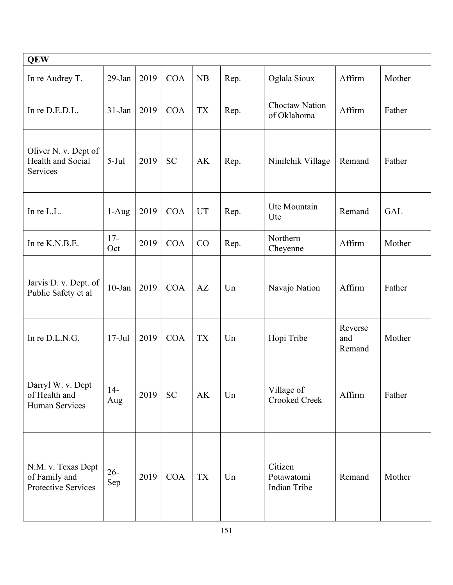| <b>QEW</b>                                                        |               |      |            |           |      |                                       |                          |            |
|-------------------------------------------------------------------|---------------|------|------------|-----------|------|---------------------------------------|--------------------------|------------|
| In re Audrey T.                                                   | 29-Jan        | 2019 | <b>COA</b> | NB        | Rep. | Oglala Sioux                          | Affirm                   | Mother     |
| In re D.E.D.L.                                                    | $31-Jan$      | 2019 | <b>COA</b> | <b>TX</b> | Rep. | <b>Choctaw Nation</b><br>of Oklahoma  | Affirm                   | Father     |
| Oliver N. v. Dept of<br>Health and Social<br>Services             | $5-Jul$       | 2019 | <b>SC</b>  | <b>AK</b> | Rep. | Ninilchik Village                     | Remand                   | Father     |
| In re L.L.                                                        | $1-Aug$       | 2019 | <b>COA</b> | <b>UT</b> | Rep. | Ute Mountain<br>Ute                   | Remand                   | <b>GAL</b> |
| In re K.N.B.E.                                                    | $17-$<br>Oct  | 2019 | <b>COA</b> | CO        | Rep. | Northern<br>Cheyenne                  | Affirm                   | Mother     |
| Jarvis D. v. Dept. of<br>Public Safety et al                      | $10$ -Jan     | 2019 | <b>COA</b> | AZ        | Un   | Navajo Nation                         | Affirm                   | Father     |
| In re D.L.N.G.                                                    | $17-Jul$      | 2019 | <b>COA</b> | <b>TX</b> | Un   | Hopi Tribe                            | Reverse<br>and<br>Remand | Mother     |
| Darryl W. v. Dept<br>of Health and<br>Human Services              | $14-$<br>Aug  | 2019 | <b>SC</b>  | <b>AK</b> | Un   | Village of<br><b>Crooked Creek</b>    | Affirm                   | Father     |
| N.M. v. Texas Dept<br>of Family and<br><b>Protective Services</b> | $26 -$<br>Sep | 2019 | <b>COA</b> | TX        | Un   | Citizen<br>Potawatomi<br>Indian Tribe | Remand                   | Mother     |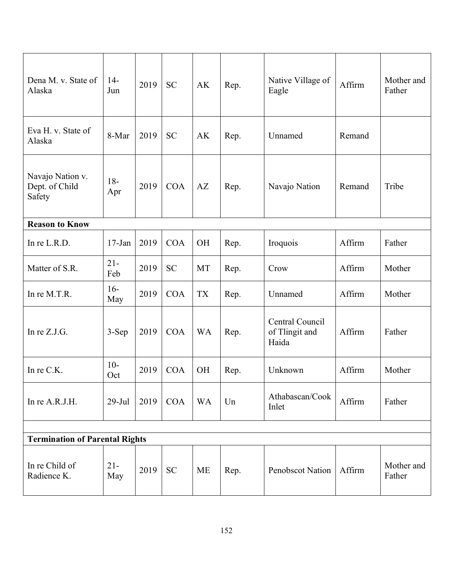| Dena M. v. State of<br>Alaska                | $14-$<br>Jun  | 2019 | <b>SC</b>  | AK        | Rep. | Native Village of<br>Eagle                 | Affirm | Mother and<br>Father |  |
|----------------------------------------------|---------------|------|------------|-----------|------|--------------------------------------------|--------|----------------------|--|
| Eva H. v. State of<br>Alaska                 | 8-Mar         | 2019 | <b>SC</b>  | <b>AK</b> | Rep. | Unnamed                                    | Remand |                      |  |
| Navajo Nation v.<br>Dept. of Child<br>Safety | $18 -$<br>Apr | 2019 | <b>COA</b> | AZ        | Rep. | Navajo Nation                              | Remand | Tribe                |  |
| <b>Reason to Know</b>                        |               |      |            |           |      |                                            |        |                      |  |
| In re L.R.D.                                 | $17$ -Jan     | 2019 | <b>COA</b> | <b>OH</b> | Rep. | Iroquois                                   | Affirm | Father               |  |
| Matter of S.R.                               | $21 -$<br>Feb | 2019 | <b>SC</b>  | <b>MT</b> | Rep. | Crow                                       | Affirm | Mother               |  |
| In re M.T.R.                                 | $16-$<br>May  | 2019 | <b>COA</b> | <b>TX</b> | Rep. | Unnamed                                    | Affirm | Mother               |  |
| In re $Z.J.G.$                               | 3-Sep         | 2019 | <b>COA</b> | <b>WA</b> | Rep. | Central Council<br>of Tlingit and<br>Haida | Affirm | Father               |  |
| In re C.K.                                   | $10-$<br>Oct  | 2019 | <b>COA</b> | <b>OH</b> | Rep. | Unknown                                    | Affirm | Mother               |  |
| In re A.R.J.H.                               | $29-Jul$      | 2019 | <b>COA</b> | <b>WA</b> | Un   | Athabascan/Cook<br>Inlet                   | Affirm | Father               |  |
|                                              |               |      |            |           |      |                                            |        |                      |  |
| <b>Termination of Parental Rights</b>        |               |      |            |           |      |                                            |        |                      |  |
| In re Child of<br>Radience K.                | $21 -$<br>May | 2019 | <b>SC</b>  | ME        | Rep. | Penobscot Nation                           | Affirm | Mother and<br>Father |  |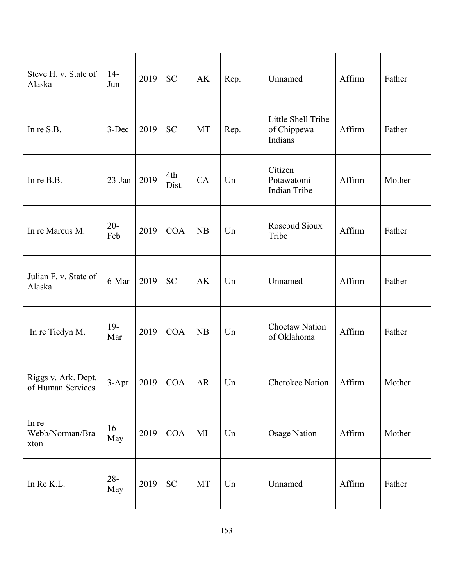| Steve H. v. State of<br>Alaska           | $14-$<br>Jun  | 2019 | <b>SC</b>          | AK        | Rep. | Unnamed                                      | Affirm | Father |
|------------------------------------------|---------------|------|--------------------|-----------|------|----------------------------------------------|--------|--------|
| In re S.B.                               | 3-Dec         | 2019 | <b>SC</b>          | MT        | Rep. | Little Shell Tribe<br>of Chippewa<br>Indians | Affirm | Father |
| In re B.B.                               | 23-Jan        | 2019 | 4th<br>Dist.       | CA        | Un   | Citizen<br>Potawatomi<br>Indian Tribe        | Affirm | Mother |
| In re Marcus M.                          | $20 -$<br>Feb | 2019 | <b>COA</b>         | NB        | Un   | Rosebud Sioux<br>Tribe                       | Affirm | Father |
| Julian F. v. State of<br>Alaska          | 6-Mar         | 2019 | <b>SC</b>          | AK        | Un   | Unnamed                                      | Affirm | Father |
| In re Tiedyn M.                          | $19-$<br>Mar  | 2019 | <b>COA</b>         | <b>NB</b> | Un   | Choctaw Nation<br>of Oklahoma                | Affirm | Father |
| Riggs v. Ark. Dept.<br>of Human Services |               |      | 3-Apr   2019   COA | AR        | Un   | Cherokee Nation   Affirm                     |        | Mother |
| In re<br>Webb/Norman/Bra<br>xton         | $16-$<br>May  | 2019 | COA                | MI        | Un   | <b>Osage Nation</b>                          | Affirm | Mother |
| In Re K.L.                               | $28 -$<br>May | 2019 | <b>SC</b>          | MT        | Un   | Unnamed                                      | Affirm | Father |